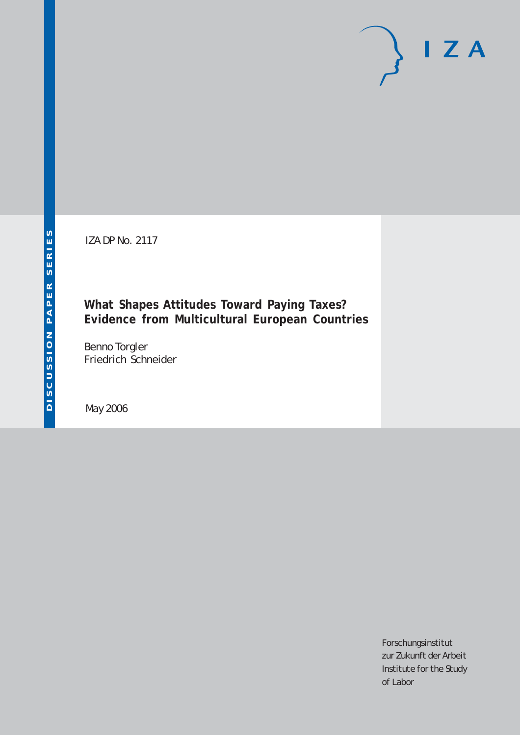IZA DP No. 2117

# **What Shapes Attitudes Toward Paying Taxes? Evidence from Multicultural European Countries**

Benno Torgler Friedrich Schneider

May 2006

Forschungsinstitut zur Zukunft der Arbeit Institute for the Study of Labor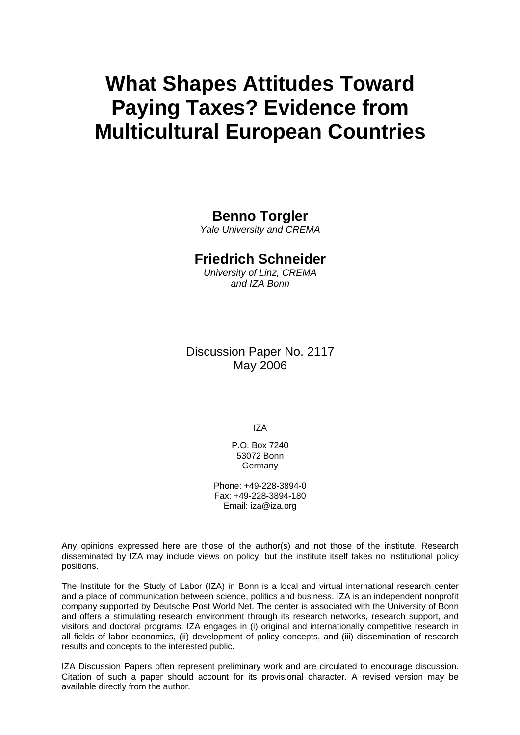# **What Shapes Attitudes Toward Paying Taxes? Evidence from Multicultural European Countries**

# **Benno Torgler**

*Yale University and CREMA* 

# **Friedrich Schneider**

*University of Linz, CREMA and IZA Bonn* 

# Discussion Paper No. 2117 May 2006

IZA

P.O. Box 7240 53072 Bonn Germany

Phone: +49-228-3894-0 Fax: +49-228-3894-180 Email: [iza@iza.org](mailto:iza@iza.org)

Any opinions expressed here are those of the author(s) and not those of the institute. Research disseminated by IZA may include views on policy, but the institute itself takes no institutional policy positions.

The Institute for the Study of Labor (IZA) in Bonn is a local and virtual international research center and a place of communication between science, politics and business. IZA is an independent nonprofit company supported by Deutsche Post World Net. The center is associated with the University of Bonn and offers a stimulating research environment through its research networks, research support, and visitors and doctoral programs. IZA engages in (i) original and internationally competitive research in all fields of labor economics, (ii) development of policy concepts, and (iii) dissemination of research results and concepts to the interested public.

IZA Discussion Papers often represent preliminary work and are circulated to encourage discussion. Citation of such a paper should account for its provisional character. A revised version may be available directly from the author.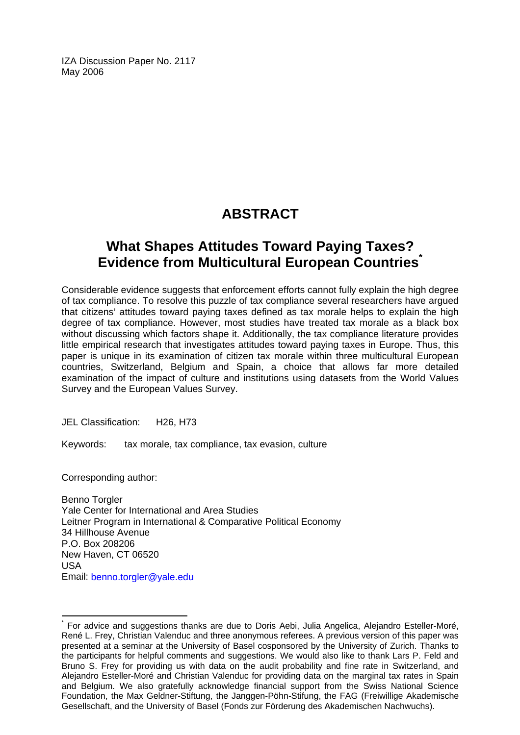IZA Discussion Paper No. 2117 May 2006

# **ABSTRACT**

# **What Shapes Attitudes Toward Paying Taxes? Evidence from Multicultural European Countries[\\*](#page-2-0)**

Considerable evidence suggests that enforcement efforts cannot fully explain the high degree of tax compliance. To resolve this puzzle of tax compliance several researchers have argued that citizens' attitudes toward paying taxes defined as tax morale helps to explain the high degree of tax compliance. However, most studies have treated tax morale as a black box without discussing which factors shape it. Additionally, the tax compliance literature provides little empirical research that investigates attitudes toward paying taxes in Europe. Thus, this paper is unique in its examination of citizen tax morale within three multicultural European countries, Switzerland, Belgium and Spain, a choice that allows far more detailed examination of the impact of culture and institutions using datasets from the World Values Survey and the European Values Survey.

JEL Classification: H26, H73

Keywords: tax morale, tax compliance, tax evasion, culture

Corresponding author:

 $\overline{a}$ 

Benno Torgler Yale Center for International and Area Studies Leitner Program in International & Comparative Political Economy 34 Hillhouse Avenue P.O. Box 208206 New Haven, CT 06520 USA Email: [benno.torgler@yale.edu](mailto:benno.torgler@yale.edu) 

<span id="page-2-0"></span><sup>\*</sup> For advice and suggestions thanks are due to Doris Aebi, Julia Angelica, Alejandro Esteller-Moré, René L. Frey, Christian Valenduc and three anonymous referees. A previous version of this paper was presented at a seminar at the University of Basel cosponsored by the University of Zurich. Thanks to the participants for helpful comments and suggestions. We would also like to thank Lars P. Feld and Bruno S. Frey for providing us with data on the audit probability and fine rate in Switzerland, and Alejandro Esteller-Moré and Christian Valenduc for providing data on the marginal tax rates in Spain and Belgium. We also gratefully acknowledge financial support from the Swiss National Science Foundation, the Max Geldner-Stiftung, the Janggen-Pöhn-Stifung, the FAG (Freiwillige Akademische Gesellschaft, and the University of Basel (Fonds zur Förderung des Akademischen Nachwuchs).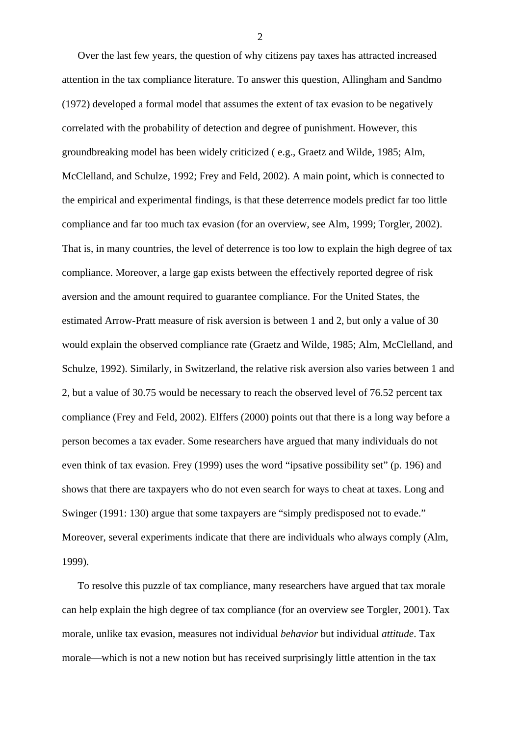Over the last few years, the question of why citizens pay taxes has attracted increased attention in the tax compliance literature. To answer this question, Allingham and Sandmo (1972) developed a formal model that assumes the extent of tax evasion to be negatively correlated with the probability of detection and degree of punishment. However, this groundbreaking model has been widely criticized ( e.g., Graetz and Wilde, 1985; Alm, McClelland, and Schulze, 1992; Frey and Feld, 2002). A main point, which is connected to the empirical and experimental findings, is that these deterrence models predict far too little compliance and far too much tax evasion (for an overview, see Alm, 1999; Torgler, 2002). That is, in many countries, the level of deterrence is too low to explain the high degree of tax compliance. Moreover, a large gap exists between the effectively reported degree of risk aversion and the amount required to guarantee compliance. For the United States, the estimated Arrow-Pratt measure of risk aversion is between 1 and 2, but only a value of 30 would explain the observed compliance rate (Graetz and Wilde, 1985; Alm, McClelland, and Schulze, 1992). Similarly, in Switzerland, the relative risk aversion also varies between 1 and 2, but a value of 30.75 would be necessary to reach the observed level of 76.52 percent tax compliance (Frey and Feld, 2002). Elffers (2000) points out that there is a long way before a person becomes a tax evader. Some researchers have argued that many individuals do not even think of tax evasion. Frey (1999) uses the word "ipsative possibility set" (p. 196) and shows that there are taxpayers who do not even search for ways to cheat at taxes. Long and Swinger (1991: 130) argue that some taxpayers are "simply predisposed not to evade." Moreover, several experiments indicate that there are individuals who always comply (Alm, 1999).

To resolve this puzzle of tax compliance, many researchers have argued that tax morale can help explain the high degree of tax compliance (for an overview see Torgler, 2001). Tax morale, unlike tax evasion, measures not individual *behavior* but individual *attitude*. Tax morale—which is not a new notion but has received surprisingly little attention in the tax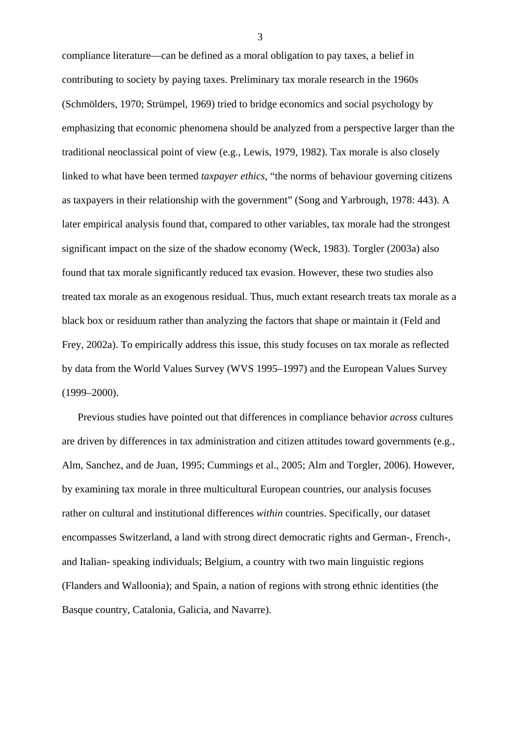compliance literature—can be defined as a moral obligation to pay taxes, a belief in contributing to society by paying taxes. Preliminary tax morale research in the 1960s (Schmölders, 1970; Strümpel, 1969) tried to bridge economics and social psychology by emphasizing that economic phenomena should be analyzed from a perspective larger than the traditional neoclassical point of view (e.g., Lewis, 1979, 1982). Tax morale is also closely linked to what have been termed *taxpayer ethics*, "the norms of behaviour governing citizens as taxpayers in their relationship with the government" (Song and Yarbrough, 1978: 443). A later empirical analysis found that, compared to other variables, tax morale had the strongest significant impact on the size of the shadow economy (Weck, 1983). Torgler (2003a) also found that tax morale significantly reduced tax evasion. However, these two studies also treated tax morale as an exogenous residual. Thus, much extant research treats tax morale as a black box or residuum rather than analyzing the factors that shape or maintain it (Feld and Frey, 2002a). To empirically address this issue, this study focuses on tax morale as reflected by data from the World Values Survey (WVS 1995–1997) and the European Values Survey (1999–2000).

Previous studies have pointed out that differences in compliance behavior *across* cultures are driven by differences in tax administration and citizen attitudes toward governments (e.g., Alm, Sanchez, and de Juan, 1995; Cummings et al., 2005; Alm and Torgler, 2006). However, by examining tax morale in three multicultural European countries, our analysis focuses rather on cultural and institutional differences *within* countries. Specifically, our dataset encompasses Switzerland, a land with strong direct democratic rights and German-, French-, and Italian- speaking individuals; Belgium, a country with two main linguistic regions (Flanders and Walloonia); and Spain, a nation of regions with strong ethnic identities (the Basque country, Catalonia, Galicia, and Navarre).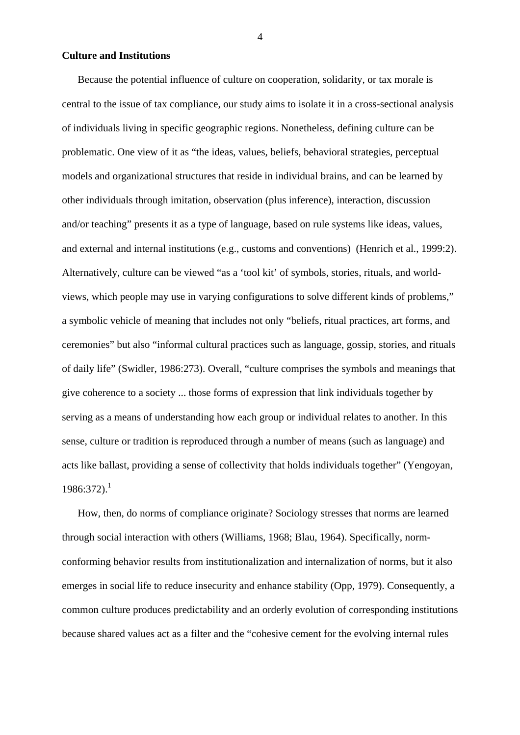### **Culture and Institutions**

Because the potential influence of culture on cooperation, solidarity, or tax morale is central to the issue of tax compliance, our study aims to isolate it in a cross-sectional analysis of individuals living in specific geographic regions. Nonetheless, defining culture can be problematic. One view of it as "the ideas, values, beliefs, behavioral strategies, perceptual models and organizational structures that reside in individual brains, and can be learned by other individuals through imitation, observation (plus inference), interaction, discussion and/or teaching" presents it as a type of language, based on rule systems like ideas, values, and external and internal institutions (e.g., customs and conventions) (Henrich et al., 1999:2). Alternatively, culture can be viewed "as a 'tool kit' of symbols, stories, rituals, and worldviews, which people may use in varying configurations to solve different kinds of problems," a symbolic vehicle of meaning that includes not only "beliefs, ritual practices, art forms, and ceremonies" but also "informal cultural practices such as language, gossip, stories, and rituals of daily life" (Swidler, 1986:273). Overall, "culture comprises the symbols and meanings that give coherence to a society ... those forms of expression that link individuals together by serving as a means of understanding how each group or individual relates to another. In this sense, culture or tradition is reproduced through a number of means (such as language) and acts like ballast, providing a sense of collectivity that holds individuals together" (Yengoyan,  $1986:372$  $1986:372$ ).<sup>1</sup>

<span id="page-5-0"></span>How, then, do norms of compliance originate? Sociology stresses that norms are learned through social interaction with others (Williams, 1968; Blau, 1964). Specifically, normconforming behavior results from institutionalization and internalization of norms, but it also emerges in social life to reduce insecurity and enhance stability (Opp, 1979). Consequently, a common culture produces predictability and an orderly evolution of corresponding institutions because shared values act as a filter and the "cohesive cement for the evolving internal rules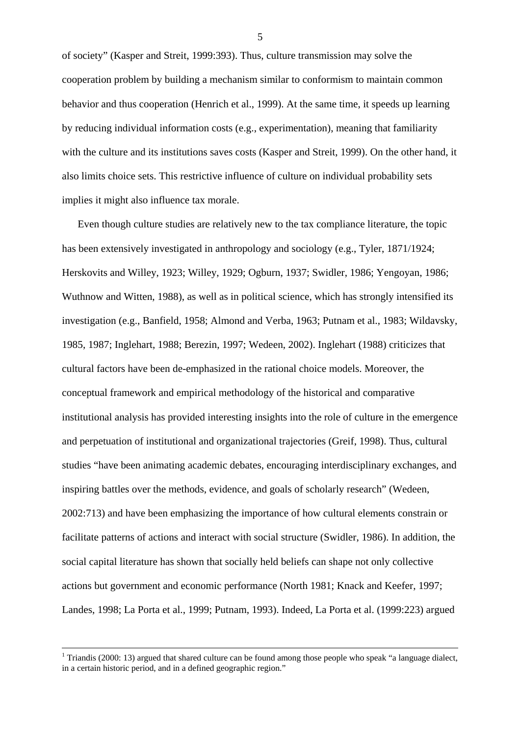of society" (Kasper and Streit, 1999:393). Thus, culture transmission may solve the cooperation problem by building a mechanism similar to conformism to maintain common behavior and thus cooperation (Henrich et al., 1999). At the same time, it speeds up learning by reducing individual information costs (e.g., experimentation), meaning that familiarity with the culture and its institutions saves costs (Kasper and Streit, 1999). On the other hand, it also limits choice sets. This restrictive influence of culture on individual probability sets implies it might also influence tax morale.

Even though culture studies are relatively new to the tax compliance literature, the topic has been extensively investigated in anthropology and sociology (e.g., Tyler, 1871/1924; Herskovits and Willey, 1923; Willey, 1929; Ogburn, 1937; Swidler, 1986; Yengoyan, 1986; Wuthnow and Witten, 1988), as well as in political science, which has strongly intensified its investigation (e.g., Banfield, 1958; Almond and Verba, 1963; Putnam et al., 1983; Wildavsky, 1985, 1987; Inglehart, 1988; Berezin, 1997; Wedeen, 2002). Inglehart (1988) criticizes that cultural factors have been de-emphasized in the rational choice models. Moreover, the conceptual framework and empirical methodology of the historical and comparative institutional analysis has provided interesting insights into the role of culture in the emergence and perpetuation of institutional and organizational trajectories (Greif, 1998). Thus, cultural studies "have been animating academic debates, encouraging interdisciplinary exchanges, and inspiring battles over the methods, evidence, and goals of scholarly research" (Wedeen, 2002:713) and have been emphasizing the importance of how cultural elements constrain or facilitate patterns of actions and interact with social structure (Swidler, 1986). In addition, the social capital literature has shown that socially held beliefs can shape not only collective actions but government and economic performance (North 1981; Knack and Keefer, 1997; Landes, 1998; La Porta et al., 1999; Putnam, 1993). Indeed, La Porta et al. (1999:223) argued

 $\frac{1}{1}$ <sup>1</sup> Triandis (2000: 13) argued that shared culture can be found among those people who speak "a language dialect, in a certain historic period, and in a defined geographic region."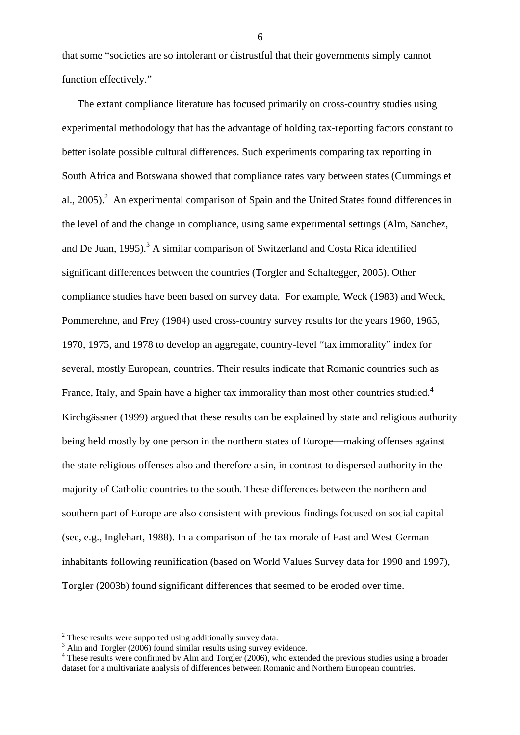that some "societies are so intolerant or distrustful that their governments simply cannot function effectively."

The extant compliance literature has focused primarily on cross-country studies using experimental methodology that has the advantage of holding tax-reporting factors constant to better isolate possible cultural differences. Such experiments comparing tax reporting in South Africa and Botswana showed that compliance rates vary between states (Cummings et al., [2](#page-7-0)005). $^2$  An experimental comparison of Spain and the United States found differences in the level of and the change in compliance, using same experimental settings (Alm, Sanchez, and De Juan, 1995).<sup>[3](#page-7-1)</sup> A similar comparison of Switzerland and Costa Rica identified significant differences between the countries (Torgler and Schaltegger, 2005). Other compliance studies have been based on survey data. For example, Weck (1983) and Weck, Pommerehne, and Frey (1984) used cross-country survey results for the years 1960, 1965, 1970, 1975, and 1978 to develop an aggregate, country-level "tax immorality" index for several, mostly European, countries. Their results indicate that Romanic countries such as France, Italy, and Spain have a higher tax immorality than most other countries studied.<sup>[4](#page-7-2)</sup> Kirchgässner (1999) argued that these results can be explained by state and religious authority being held mostly by one person in the northern states of Europe—making offenses against the state religious offenses also and therefore a sin, in contrast to dispersed authority in the majority of Catholic countries to the south. These differences between the northern and southern part of Europe are also consistent with previous findings focused on social capital (see, e.g., Inglehart, 1988). In a comparison of the tax morale of East and West German inhabitants following reunification (based on World Values Survey data for 1990 and 1997), Torgler (2003b) found significant differences that seemed to be eroded over time.

 $\overline{a}$ 

<span id="page-7-0"></span> $2$  These results were supported using additionally survey data.

<span id="page-7-1"></span><sup>&</sup>lt;sup>3</sup> Alm and Torgler (2006) found similar results using survey evidence.

<span id="page-7-2"></span><sup>&</sup>lt;sup>4</sup> These results were confirmed by Alm and Torgler (2006), who extended the previous studies using a broader dataset for a multivariate analysis of differences between Romanic and Northern European countries.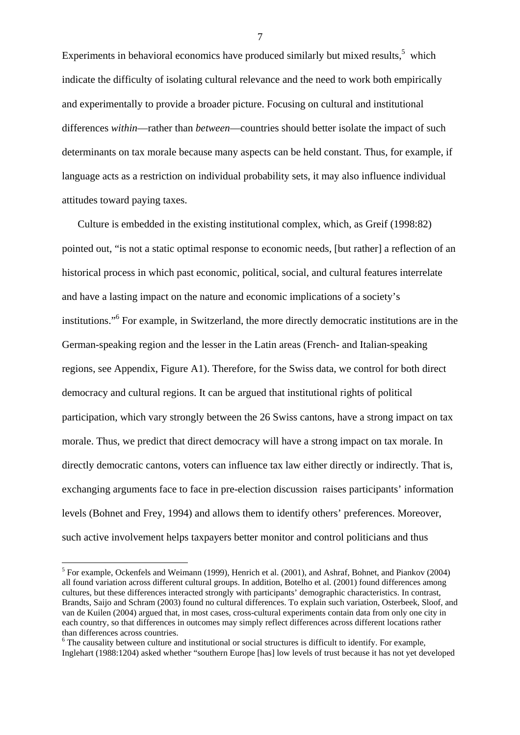Experiments in behavioral economics have produced similarly but mixed results, $5$  which indicate the difficulty of isolating cultural relevance and the need to work both empirically and experimentally to provide a broader picture. Focusing on cultural and institutional differences *within*—rather than *between*—countries should better isolate the impact of such determinants on tax morale because many aspects can be held constant. Thus, for example, if language acts as a restriction on individual probability sets, it may also influence individual attitudes toward paying taxes.

Culture is embedded in the existing institutional complex, which, as Greif (1998:82) pointed out, "is not a static optimal response to economic needs, [but rather] a reflection of an historical process in which past economic, political, social, and cultural features interrelate and have a lasting impact on the nature and economic implications of a society's institutions."[6](#page-8-1) For example, in Switzerland, the more directly democratic institutions are in the German-speaking region and the lesser in the Latin areas (French- and Italian-speaking regions, see Appendix, Figure A1). Therefore, for the Swiss data, we control for both direct democracy and cultural regions. It can be argued that institutional rights of political participation, which vary strongly between the 26 Swiss cantons, have a strong impact on tax morale. Thus, we predict that direct democracy will have a strong impact on tax morale. In directly democratic cantons, voters can influence tax law either directly or indirectly. That is, exchanging arguments face to face in pre-election discussion raises participants' information levels (Bohnet and Frey, 1994) and allows them to identify others' preferences. Moreover, such active involvement helps taxpayers better monitor and control politicians and thus

 $\overline{a}$ 

<span id="page-8-0"></span><sup>&</sup>lt;sup>5</sup> For example, Ockenfels and Weimann (1999), Henrich et al. (2001), and Ashraf, Bohnet, and Piankov (2004) all found variation across different cultural groups. In addition, Botelho et al. (2001) found differences among cultures, but these differences interacted strongly with participants' demographic characteristics. In contrast, Brandts, Saijo and Schram (2003) found no cultural differences. To explain such variation, Osterbeek, Sloof, and van de Kuilen (2004) argued that, in most cases, cross-cultural experiments contain data from only one city in each country, so that differences in outcomes may simply reflect differences across different locations rather than differences across countries.

<span id="page-8-1"></span><sup>&</sup>lt;sup>6</sup> The causality between culture and institutional or social structures is difficult to identify. For example, Inglehart (1988:1204) asked whether "southern Europe [has] low levels of trust because it has not yet developed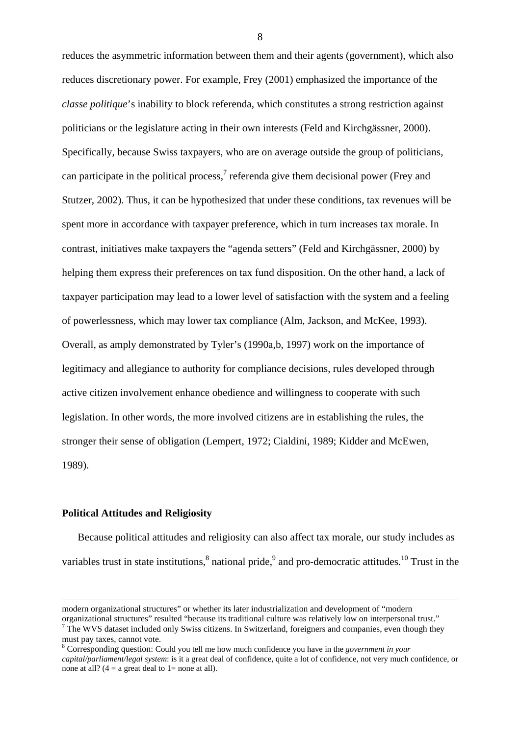reduces the asymmetric information between them and their agents (government), which also reduces discretionary power. For example, Frey (2001) emphasized the importance of the *classe politique*'s inability to block referenda, which constitutes a strong restriction against politicians or the legislature acting in their own interests (Feld and Kirchgässner, 2000). Specifically, because Swiss taxpayers, who are on average outside the group of politicians, can participate in the political process, $\alpha$ <sup>[7](#page-9-0)</sup> referenda give them decisional power (Frey and Stutzer, 2002). Thus, it can be hypothesized that under these conditions, tax revenues will be spent more in accordance with taxpayer preference, which in turn increases tax morale. In contrast, initiatives make taxpayers the "agenda setters" (Feld and Kirchgässner, 2000) by helping them express their preferences on tax fund disposition. On the other hand, a lack of taxpayer participation may lead to a lower level of satisfaction with the system and a feeling of powerlessness, which may lower tax compliance (Alm, Jackson, and McKee, 1993). Overall, as amply demonstrated by Tyler's (1990a,b, 1997) work on the importance of legitimacy and allegiance to authority for compliance decisions, rules developed through active citizen involvement enhance obedience and willingness to cooperate with such legislation. In other words, the more involved citizens are in establishing the rules, the stronger their sense of obligation (Lempert, 1972; Cialdini, 1989; Kidder and McEwen, 1989).

#### **Political Attitudes and Religiosity**

Because political attitudes and religiosity can also affect tax morale, our study includes as variables trust in state institutions,  $\delta$  national pride,  $\delta$  [a](#page-9-2)nd pro-democratic attitudes.<sup>10</sup> Trust in the

modern organizational structures" or whether its later industrialization and development of "modern organizational structures" resulted "because its traditional culture was relatively low on interpersonal trust." 7

<span id="page-9-2"></span><span id="page-9-0"></span> $\sigma$  The WVS dataset included only Swiss citizens. In Switzerland, foreigners and companies, even though they must pay taxes, cannot vote.

<span id="page-9-3"></span><span id="page-9-1"></span><sup>8</sup> Corresponding question: Could you tell me how much confidence you have in the *government in your capital/parliament/legal system*: is it a great deal of confidence, quite a lot of confidence, not very much confidence, or none at all?  $(4 = a \text{ great deal to } 1 = \text{none at all}).$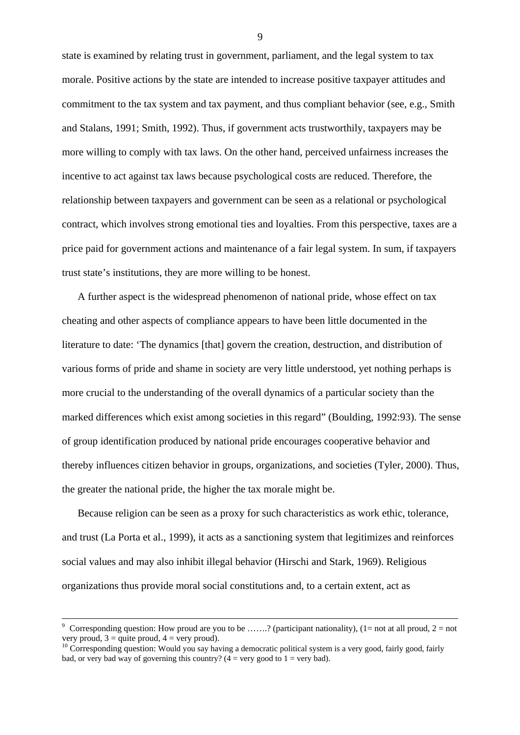state is examined by relating trust in government, parliament, and the legal system to tax morale. Positive actions by the state are intended to increase positive taxpayer attitudes and commitment to the tax system and tax payment, and thus compliant behavior (see, e.g., Smith and Stalans, 1991; Smith, 1992). Thus, if government acts trustworthily, taxpayers may be more willing to comply with tax laws. On the other hand, perceived unfairness increases the incentive to act against tax laws because psychological costs are reduced. Therefore, the relationship between taxpayers and government can be seen as a relational or psychological contract, which involves strong emotional ties and loyalties. From this perspective, taxes are a price paid for government actions and maintenance of a fair legal system. In sum, if taxpayers trust state's institutions, they are more willing to be honest.

A further aspect is the widespread phenomenon of national pride, whose effect on tax cheating and other aspects of compliance appears to have been little documented in the literature to date: 'The dynamics [that] govern the creation, destruction, and distribution of various forms of pride and shame in society are very little understood, yet nothing perhaps is more crucial to the understanding of the overall dynamics of a particular society than the marked differences which exist among societies in this regard" (Boulding, 1992:93). The sense of group identification produced by national pride encourages cooperative behavior and thereby influences citizen behavior in groups, organizations, and societies (Tyler, 2000). Thus, the greater the national pride, the higher the tax morale might be.

Because religion can be seen as a proxy for such characteristics as work ethic, tolerance, and trust (La Porta et al., 1999), it acts as a sanctioning system that legitimizes and reinforces social values and may also inhibit illegal behavior (Hirschi and Stark, 1969). Religious organizations thus provide moral social constitutions and, to a certain extent, act as

Corresponding question: How proud are you to be .......? (participant nationality), (1= not at all proud, 2 = not very proud,  $3 =$  quite proud,  $4 =$  very proud).

 $10$  Corresponding question: Would you say having a democratic political system is a very good, fairly good, fairly bad, or very bad way of governing this country?  $(4 = \text{very good to } 1 = \text{very bad})$ .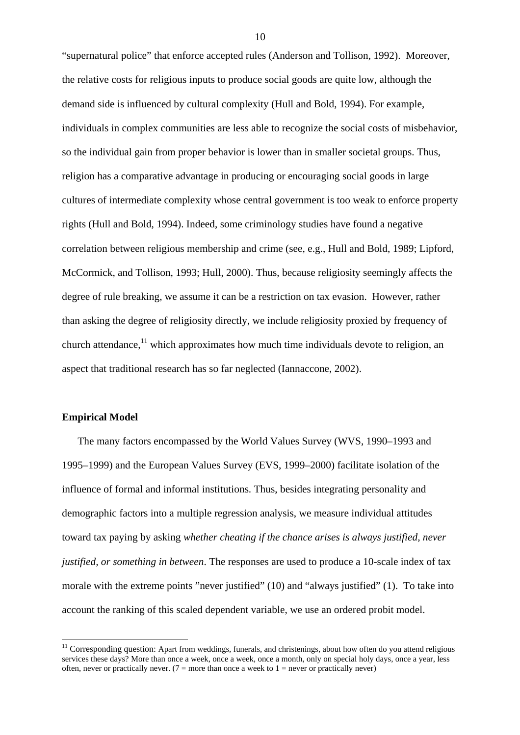"supernatural police" that enforce accepted rules (Anderson and Tollison, 1992). Moreover, the relative costs for religious inputs to produce social goods are quite low, although the demand side is influenced by cultural complexity (Hull and Bold, 1994). For example, individuals in complex communities are less able to recognize the social costs of misbehavior, so the individual gain from proper behavior is lower than in smaller societal groups. Thus, religion has a comparative advantage in producing or encouraging social goods in large cultures of intermediate complexity whose central government is too weak to enforce property rights (Hull and Bold, 1994). Indeed, some criminology studies have found a negative correlation between religious membership and crime (see, e.g., Hull and Bold, 1989; Lipford, McCormick, and Tollison, 1993; Hull, 2000). Thus, because religiosity seemingly affects the degree of rule breaking, we assume it can be a restriction on tax evasion. However, rather than asking the degree of religiosity directly, we include religiosity proxied by frequency of church attendance, $^{11}$  which approximates how much time individuals devote to religion, an aspect that traditional research has so far neglected (Iannaccone, 2002).

# **Empirical Model**

 $\overline{a}$ 

The many factors encompassed by the World Values Survey (WVS, 1990–1993 and 1995–1999) and the European Values Survey (EVS, 1999–2000) facilitate isolation of the influence of formal and informal institutions. Thus, besides integrating personality and demographic factors into a multiple regression analysis, we measure individual attitudes toward tax paying by asking *whether cheating if the chance arises is always justified, never justified, or something in between*. The responses are used to produce a 10-scale index of tax morale with the extreme points "never justified" (10) and "always justified" (1). To take into account the ranking of this scaled dependent variable, we use an ordered probit model.

<span id="page-11-0"></span> $11$  Corresponding question: Apart from weddings, funerals, and christenings, about how often do you attend religious services these days? More than once a week, once a week, once a month, only on special holy days, once a year, less often, never or practically never. ( $7 =$  more than once a week to  $1 =$  never or practically never)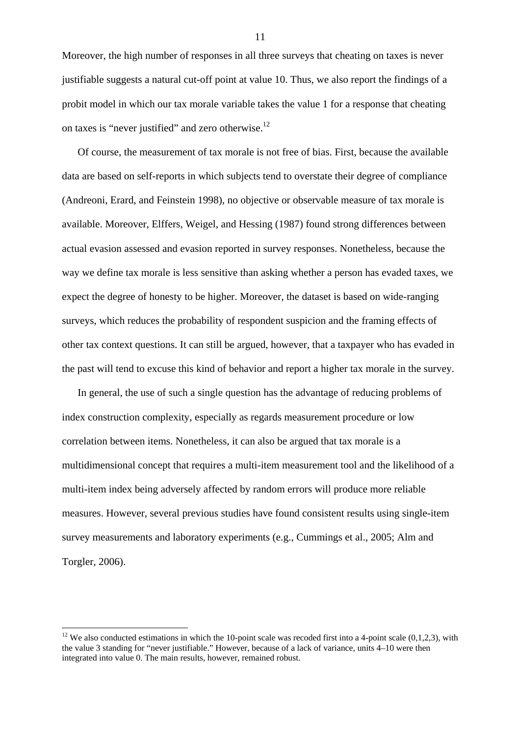Moreover, the high number of responses in all three surveys that cheating on taxes is never justifiable suggests a natural cut-off point at value 10. Thus, we also report the findings of a probit model in which our tax morale variable takes the value 1 for a response that cheating on taxes is "never justified" and zero otherwise.<sup>12</sup>

Of course, the measurement of tax morale is not free of bias. First, because the available data are based on self-reports in which subjects tend to overstate their degree of compliance (Andreoni, Erard, and Feinstein 1998), no objective or observable measure of tax morale is available. Moreover, Elffers, Weigel, and Hessing (1987) found strong differences between actual evasion assessed and evasion reported in survey responses. Nonetheless, because the way we define tax morale is less sensitive than asking whether a person has evaded taxes, we expect the degree of honesty to be higher. Moreover, the dataset is based on wide-ranging surveys, which reduces the probability of respondent suspicion and the framing effects of other tax context questions. It can still be argued, however, that a taxpayer who has evaded in the past will tend to excuse this kind of behavior and report a higher tax morale in the survey.

In general, the use of such a single question has the advantage of reducing problems of index construction complexity, especially as regards measurement procedure or low correlation between items. Nonetheless, it can also be argued that tax morale is a multidimensional concept that requires a multi-item measurement tool and the likelihood of a multi-item index being adversely affected by random errors will produce more reliable measures. However, several previous studies have found consistent results using single-item survey measurements and laboratory experiments (e.g., Cummings et al., 2005; Alm and Torgler, 2006).

 $\overline{a}$ 

<span id="page-12-0"></span><sup>&</sup>lt;sup>12</sup> We also conducted estimations in which the 10-point scale was recoded first into a 4-point scale  $(0,1,2,3)$ , with the value 3 standing for "never justifiable." However, because of a lack of variance, units 4–10 were then integrated into value 0. The main results, however, remained robust.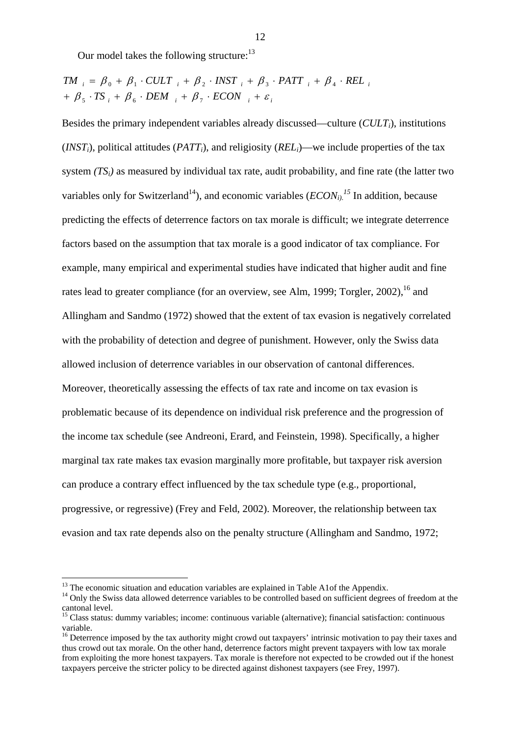Our model takes the following structure:<sup>[13](#page-13-0)</sup>

$$
TM_{i} = \beta_{0} + \beta_{1} \cdot CULT_{i} + \beta_{2} \cdot INST_{i} + \beta_{3} \cdot PATT_{i} + \beta_{4} \cdot REL_{i}
$$
  
+  $\beta_{5} \cdot TS_{i} + \beta_{6} \cdot DEM_{i} + \beta_{7} \cdot ECON_{i} + \varepsilon_{i}$ 

Besides the primary independent variables already discussed—culture (*CULT<sub>i</sub>*), institutions  $(NST_i)$ , political attitudes  $(PATT_i)$ , and religiosity  $(REL_i)$ —we include properties of the tax system *(TSi)* as measured by individual tax rate, audit probability, and fine rate (the latter two variables only for Switzerland<sup>14</sup>), and economic variables  $(ECON<sub>i</sub>)<sup>15</sup>$  $(ECON<sub>i</sub>)<sup>15</sup>$  $(ECON<sub>i</sub>)<sup>15</sup>$  In addition, because predicting the effects of deterrence factors on tax morale is difficult; we integrate deterrence factors based on the assumption that tax morale is a good indicator of tax compliance. For example, many empirical and experimental studies have indicated that higher audit and fine rates lead to greater compliance (for an overview, see Alm, 1999; Torgler, 2002),  $^{16}$  and Allingham and Sandmo (1972) showed that the extent of tax evasion is negatively correlated with the probability of detection and degree of punishment. However, only the Swiss data allowed inclusion of deterrence variables in our observation of cantonal differences. Moreover, theoretically assessing the effects of tax rate and income on tax evasion is problematic because of its dependence on individual risk preference and the progression of the income tax schedule (see Andreoni, Erard, and Feinstein, 1998). Specifically, a higher marginal tax rate makes tax evasion marginally more profitable, but taxpayer risk aversion can produce a contrary effect influenced by the tax schedule type (e.g., proportional, progressive, or regressive) (Frey and Feld, 2002). Moreover, the relationship between tax evasion and tax rate depends also on the penalty structure (Allingham and Sandmo, 1972;

<span id="page-13-0"></span><sup>&</sup>lt;sup>13</sup> The economic situation and education variables are explained in Table A1of the Appendix.

<span id="page-13-1"></span><sup>&</sup>lt;sup>14</sup> Only the Swiss data allowed deterrence variables to be controlled based on sufficient degrees of freedom at the cantonal level. 15 Class status: dummy variables; income: continuous variable (alternative); financial satisfaction: continuous

<span id="page-13-2"></span>variable.<br><sup>16</sup> Deterrence imposed by the tax authority might crowd out taxpayers' intrinsic motivation to pay their taxes and

<span id="page-13-3"></span>thus crowd out tax morale. On the other hand, deterrence factors might prevent taxpayers with low tax morale from exploiting the more honest taxpayers. Tax morale is therefore not expected to be crowded out if the honest taxpayers perceive the stricter policy to be directed against dishonest taxpayers (see Frey, 1997).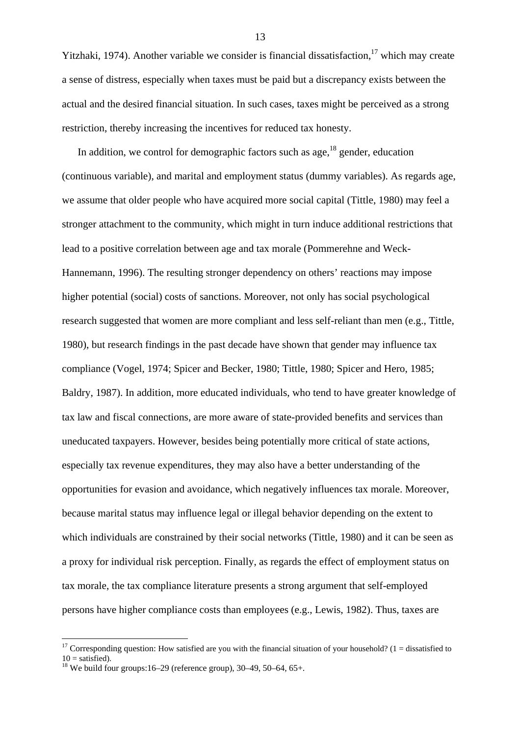Yitzhaki, 1974). Another variable [w](#page-14-0)e consider is financial dissatisfaction,  $17$  which may create a sense of distress, especially when taxes must be paid but a discrepancy exists between the actual and the desired financial situation. In such cases, taxes might be perceived as a strong restriction, thereby increasing the incentives for reduced tax honesty.

In addition, we control for demographic factors such as age, $^{18}$  gender, education (continuous variable), and marital and employment status (dummy variables). As regards age, we assume that older people who have acquired more social capital (Tittle, 1980) may feel a stronger attachment to the community, which might in turn induce additional restrictions that lead to a positive correlation between age and tax morale (Pommerehne and Weck-Hannemann, 1996). The resulting stronger dependency on others' reactions may impose higher potential (social) costs of sanctions. Moreover, not only has social psychological research suggested that women are more compliant and less self-reliant than men (e.g., Tittle, 1980), but research findings in the past decade have shown that gender may influence tax compliance (Vogel, 1974; Spicer and Becker, 1980; Tittle, 1980; Spicer and Hero, 1985; Baldry, 1987). In addition, more educated individuals, who tend to have greater knowledge of tax law and fiscal connections, are more aware of state-provided benefits and services than uneducated taxpayers. However, besides being potentially more critical of state actions, especially tax revenue expenditures, they may also have a better understanding of the opportunities for evasion and avoidance, which negatively influences tax morale. Moreover, because marital status may influence legal or illegal behavior depending on the extent to which individuals are constrained by their social networks (Tittle, 1980) and it can be seen as a proxy for individual risk perception. Finally, as regards the effect of employment status on tax morale, the tax compliance literature presents a strong argument that self-employed persons have higher compliance costs than employees (e.g., Lewis, 1982). Thus, taxes are

 $\overline{a}$ 

<span id="page-14-0"></span><sup>&</sup>lt;sup>17</sup> Corresponding question: How satisfied are you with the financial situation of your household? (1 = dissatisfied to  $10 =$  satisfied).

<span id="page-14-1"></span><sup>&</sup>lt;sup>18</sup> We build four groups:16–29 (reference group),  $30-49$ ,  $50-64$ ,  $65+$ .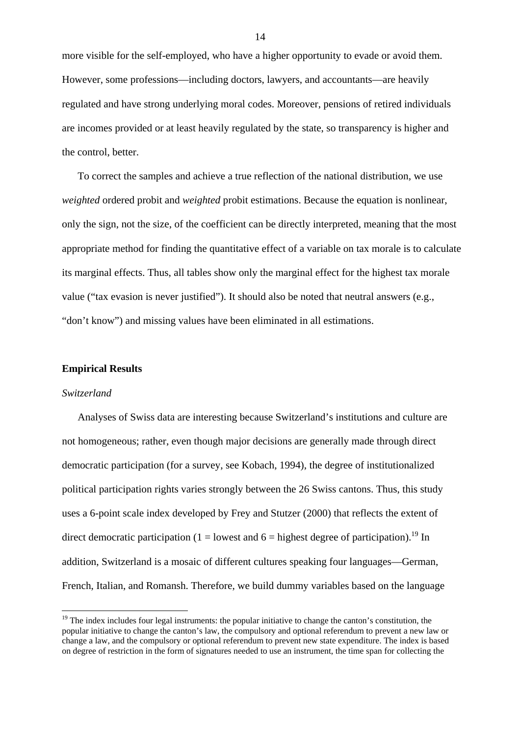more visible for the self-employed, who have a higher opportunity to evade or avoid them. However, some professions—including doctors, lawyers, and accountants—are heavily regulated and have strong underlying moral codes. Moreover, pensions of retired individuals are incomes provided or at least heavily regulated by the state, so transparency is higher and the control, better.

To correct the samples and achieve a true reflection of the national distribution, we use *weighted* ordered probit and *weighted* probit estimations. Because the equation is nonlinear, only the sign, not the size, of the coefficient can be directly interpreted, meaning that the most appropriate method for finding the quantitative effect of a variable on tax morale is to calculate its marginal effects. Thus, all tables show only the marginal effect for the highest tax morale value ("tax evasion is never justified"). It should also be noted that neutral answers (e.g., "don't know") and missing values have been eliminated in all estimations.

#### **Empirical Results**

#### *Switzerland*

 $\overline{a}$ 

Analyses of Swiss data are interesting because Switzerland's institutions and culture are not homogeneous; rather, even though major decisions are generally made through direct democratic participation (for a survey, see Kobach, 1994), the degree of institutionalized political participation rights varies strongly between the 26 Swiss cantons. Thus, this study uses a 6-point scale index developed by Frey and Stutzer (2000) that reflects the extent of direct democratic participation (1 = lowest and 6 = highest degree of participation).<sup>19</sup> In addition, Switzerland is a mosaic of different cultures speaking four languages—German, French, Italian, and Romansh. Therefore, we build dummy variables based on the language

<span id="page-15-0"></span> $19$  The index includes four legal instruments: the popular initiative to change the canton's constitution, the popular initiative to change the canton's law, the compulsory and optional referendum to prevent a new law or change a law, and the compulsory or optional referendum to prevent new state expenditure. The index is based on degree of restriction in the form of signatures needed to use an instrument, the time span for collecting the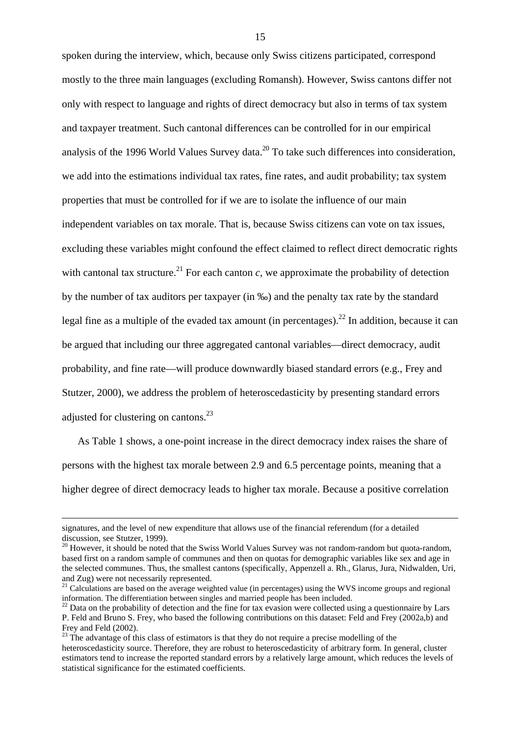spoken during the interview, which, because only Swiss citizens participated, correspond mostly to the three main languages (excluding Romansh). However, Swiss cantons differ not only with respect to language and rights of direct democracy but also in terms of tax system and taxpayer treatment. Such cantonal differences can be controlled for in our empirical analysis of the 1996 World Values Survey data.<sup>20</sup> To take such differences into consideration, we add into the estimations individual tax rates, fine rates, and audit probability; tax system properties that must be controlled for if we are to isolate the influence of our main independent variables on tax morale. That is, because Swiss citizens can vote on tax issues, excluding these variables might confound the effect claimed to reflect direct democratic rights with cantonal tax structure.<sup>21</sup> For each canton *c*, we approximate the probability of detection by the number of tax auditors per taxpayer (in ‰) and the penalty tax rate by the standard legal fine as a multiple of the evaded tax amount (in percentages).<sup>22</sup> In addition, because it can be argued that including our three aggregated cantonal variables—direct democracy, audit probability, and fine rate—will produce downwardly biased standard errors (e.g., Frey and Stutzer, 2000), we address the problem of heteroscedasticity by presenting standard errors adjusted for clustering on cantons.<sup>23</sup>

As Table 1 shows, a one-point increase in the direct democracy index raises the share of persons with the highest tax morale between 2.9 and 6.5 percentage points, meaning that a higher degree of direct democracy leads to higher tax morale. Because a positive correlation

signatures, and the level of new expenditure that allows use of the financial referendum (for a detailed discussion, see Stutzer, 1999).

<span id="page-16-0"></span> $20$  However, it should be noted that the Swiss World Values Survey was not random-random but quota-random, based first on a random sample of communes and then on quotas for demographic variables like sex and age in the selected communes. Thus, the smallest cantons (specifically, Appenzell a. Rh., Glarus, Jura, Nidwalden, Uri, and Zug) were not necessarily represented.

<span id="page-16-1"></span><sup>&</sup>lt;sup>21</sup> Calculations are based on the average weighted value (in percentages) using the WVS income groups and regional information. The differentiation between singles and married people has been included.

<span id="page-16-2"></span><sup>&</sup>lt;sup>22</sup> Data on the probability of detection and the fine for tax evasion were collected using a questionnaire by Lars P. Feld and Bruno S. Frey, who based the following contributions on this dataset: Feld and Frey (2002a,b) and Frey and Feld (2002).

<span id="page-16-3"></span> $23$  The advantage of this class of estimators is that they do not require a precise modelling of the heteroscedasticity source. Therefore, they are robust to heteroscedasticity of arbitrary form. In general, cluster estimators tend to increase the reported standard errors by a relatively large amount, which reduces the levels of statistical significance for the estimated coefficients.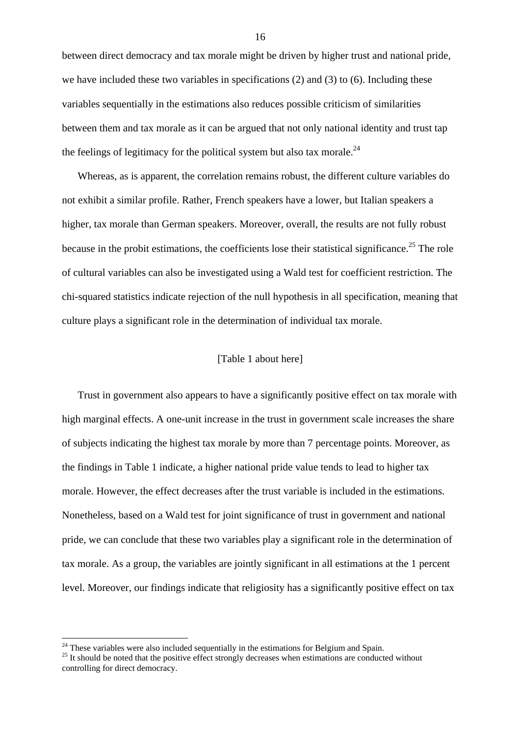between direct democracy and tax morale might be driven by higher trust and national pride, we have included these two variables in specifications (2) and (3) to (6). Including these variables sequentially in the estimations also reduces possible criticism of similarities between them and tax morale as it can be argued that not only national identity and trust tap the feelings of legitimacy for the political system but also tax morale.<sup>24</sup>

Whereas, as is apparent, the correlation remains robust, the different culture variables do not exhibit a similar profile. Rather, French speakers have a lower, but Italian speakers a higher, tax morale than German speakers. Moreover, overall, the results are not fully robust because in the probit estimations, the coefficients lose their statistical significance.<sup>25</sup> The role of cultural variables can also be investigated using a Wald test for coefficient restriction. The chi-squared statistics indicate rejection of the null hypothesis in all specification, meaning that culture plays a significant role in the determination of individual tax morale.

# [Table 1 about here]

Trust in government also appears to have a significantly positive effect on tax morale with high marginal effects. A one-unit increase in the trust in government scale increases the share of subjects indicating the highest tax morale by more than 7 percentage points. Moreover, as the findings in Table 1 indicate, a higher national pride value tends to lead to higher tax morale. However, the effect decreases after the trust variable is included in the estimations. Nonetheless, based on a Wald test for joint significance of trust in government and national pride, we can conclude that these two variables play a significant role in the determination of tax morale. As a group, the variables are jointly significant in all estimations at the 1 percent level. Moreover, our findings indicate that religiosity has a significantly positive effect on tax

<span id="page-17-0"></span><sup>&</sup>lt;sup>24</sup> These variables were also included sequentially in the estimations for Belgium and Spain.

<span id="page-17-1"></span> $25$  It should be noted that the positive effect strongly decreases when estimations are conducted without controlling for direct democracy.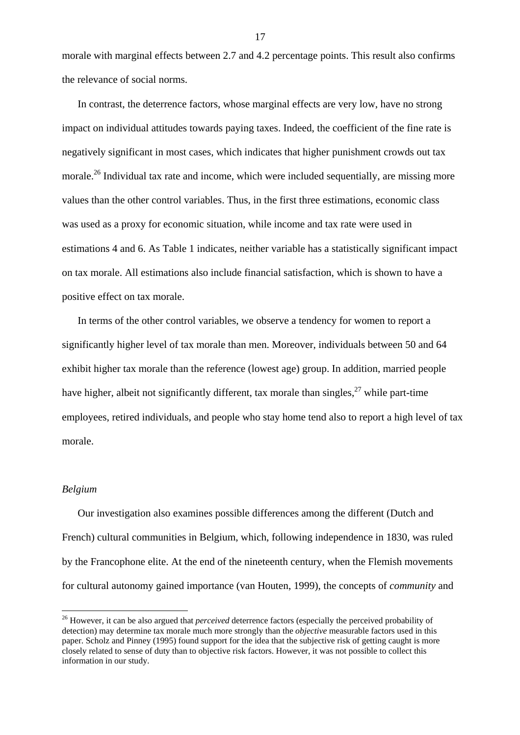morale with marginal effects between 2.7 and 4.2 percentage points. This result also confirms the relevance of social norms.

In contrast, the deterrence factors, whose marginal effects are very low, have no strong impact on individual attitudes towards paying taxes. Indeed, the coefficient of the fine rate is negatively significant in most cases, which indicates that higher punishment crowds out tax morale.<sup>26</sup> Individual tax rate and income, which were included sequentially, are missing more values than the other control variables. Thus, in the first three estimations, economic class was used as a proxy for economic situation, while income and tax rate were used in estimations 4 and 6. As Table 1 indicates, neither variable has a statistically significant impact on tax morale. All estimations also include financial satisfaction, which is shown to have a positive effect on tax morale.

In terms of the other control variables, we observe a tendency for women to report a significantly higher level of tax morale than men. Moreover, individuals between 50 and 64 exhibit higher tax morale than the reference (lowest age) group. In addition, married people have higher, albeit not significantly different, tax morale than singles,  $27$  while part-time employees, retired individuals, and people who stay home tend also to report a high level of tax morale.

#### *Belgium*

 $\overline{a}$ 

Our investigation also examines possible differences among the different (Dutch and French) cultural communities in Belgium, which, following independence in 1830, was ruled by the Francophone elite. At the end of the nineteenth century, when the Flemish movements for cultural autonomy gained importance (van Houten, 1999), the concepts of *community* and

<span id="page-18-1"></span><span id="page-18-0"></span><sup>&</sup>lt;sup>26</sup> However, it can be also argued that *perceived* deterrence factors (especially the perceived probability of detection) may determine tax morale much more strongly than the *objective* measurable factors used in this paper. Scholz and Pinney (1995) found support for the idea that the subjective risk of getting caught is more closely related to sense of duty than to objective risk factors. However, it was not possible to collect this information in our study.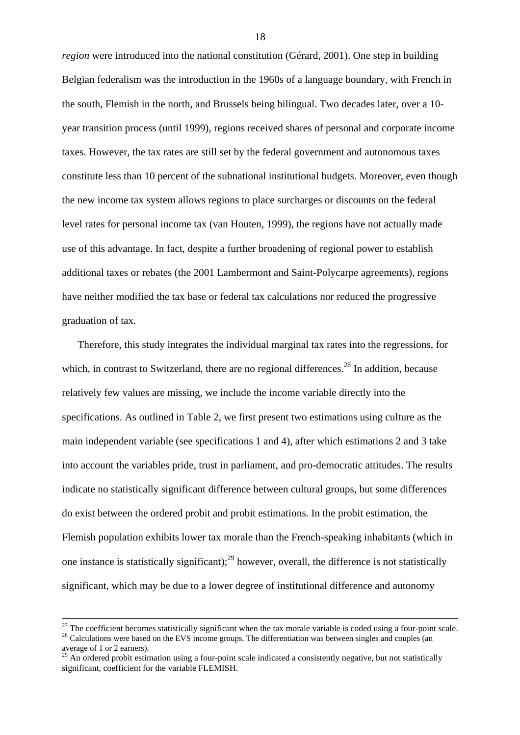*region* were introduced into the national constitution (Gérard, 2001). One step in building Belgian federalism was the introduction in the 1960s of a language boundary, with French in the south, Flemish in the north, and Brussels being bilingual. Two decades later, over a 10 year transition process (until 1999), regions received shares of personal and corporate income taxes. However, the tax rates are still set by the federal government and autonomous taxes constitute less than 10 percent of the subnational institutional budgets. Moreover, even though the new income tax system allows regions to place surcharges or discounts on the federal level rates for personal income tax (van Houten, 1999), the regions have not actually made use of this advantage. In fact, despite a further broadening of regional power to establish additional taxes or rebates (the 2001 Lambermont and Saint-Polycarpe agreements), regions have neither modified the tax base or federal tax calculations nor reduced the progressive graduation of tax.

Therefore, this study integrates the individual marginal tax rates into the regressions, for which, in contrast to Switzerland, there are no regional differences.<sup>28</sup> In addition, because relatively few values are missing, we include the income variable directly into the specifications. As outlined in Table 2, we first present two estimations using culture as the main independent variable (see specifications 1 and 4), after which estimations 2 and 3 take into account the variables pride, trust in parliament, and pro-democratic attitudes. The results indicate no statistically significant difference between cultural groups, but some differences do exist between the ordered probit and probit estimations. In the probit estimation, the Flemish population exhibits lower tax morale than the French-speaking inhabitants (which in one instance is statistically significant);  $2^9$  however, overall, the difference is not statistically significant, which may be due to a lower degree of institutional difference and autonomy

<span id="page-19-0"></span>

 $^{27}$  The coefficient becomes statistically significant when the tax morale variable is coded using a four-point scale.<br><sup>28</sup> Calculations were based on the EVS income groups. The differentiation was between singles and c average of 1 or 2 earners).

<span id="page-19-1"></span> $^{29}$  An ordered probit estimation using a four-point scale indicated a consistently negative, but not statistically significant, coefficient for the variable FLEMISH.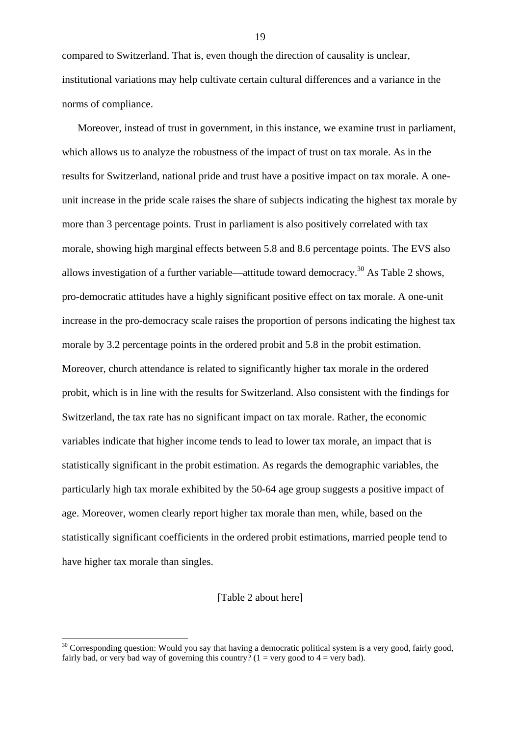compared to Switzerland. That is, even though the direction of causality is unclear, institutional variations may help cultivate certain cultural differences and a variance in the norms of compliance.

Moreover, instead of trust in government, in this instance, we examine trust in parliament, which allows us to analyze the robustness of the impact of trust on tax morale. As in the results for Switzerland, national pride and trust have a positive impact on tax morale. A oneunit increase in the pride scale raises the share of subjects indicating the highest tax morale by more than 3 percentage points. Trust in parliament is also positively correlated with tax morale, showing high marginal effects between 5.8 and 8.6 percentage points. The EVS also allows investigation of a further variable—attitude toward democracy.<sup>30</sup> As Table 2 shows. pro-democratic attitudes have a highly significant positive effect on tax morale. A one-unit increase in the pro-democracy scale raises the proportion of persons indicating the highest tax morale by 3.2 percentage points in the ordered probit and 5.8 in the probit estimation. Moreover, church attendance is related to significantly higher tax morale in the ordered probit, which is in line with the results for Switzerland. Also consistent with the findings for Switzerland, the tax rate has no significant impact on tax morale. Rather, the economic variables indicate that higher income tends to lead to lower tax morale, an impact that is statistically significant in the probit estimation. As regards the demographic variables, the particularly high tax morale exhibited by the 50-64 age group suggests a positive impact of age. Moreover, women clearly report higher tax morale than men, while, based on the statistically significant coefficients in the ordered probit estimations, married people tend to have higher tax morale than singles.

# [Table 2 about here]

 $\overline{a}$ 

<span id="page-20-0"></span> $30$  Corresponding question: Would you say that having a democratic political system is a very good, fairly good, fairly bad, or very bad way of governing this country? ( $1 = \text{very good to } 4 = \text{very bad}$ ).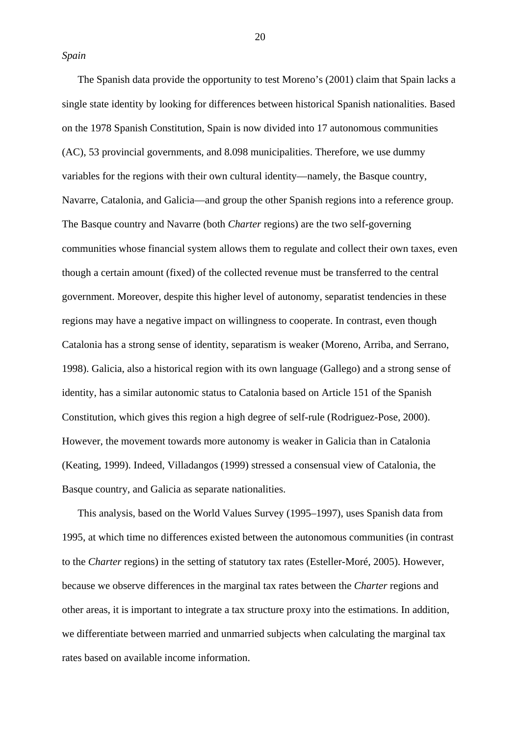*Spain*

The Spanish data provide the opportunity to test Moreno's (2001) claim that Spain lacks a single state identity by looking for differences between historical Spanish nationalities. Based on the 1978 Spanish Constitution, Spain is now divided into 17 autonomous communities (AC), 53 provincial governments, and 8.098 municipalities. Therefore, we use dummy variables for the regions with their own cultural identity—namely, the Basque country, Navarre, Catalonia, and Galicia—and group the other Spanish regions into a reference group. The Basque country and Navarre (both *Charter* regions) are the two self-governing communities whose financial system allows them to regulate and collect their own taxes, even though a certain amount (fixed) of the collected revenue must be transferred to the central government. Moreover, despite this higher level of autonomy, separatist tendencies in these regions may have a negative impact on willingness to cooperate. In contrast, even though Catalonia has a strong sense of identity, separatism is weaker (Moreno, Arriba, and Serrano, 1998). Galicia, also a historical region with its own language (Gallego) and a strong sense of identity, has a similar autonomic status to Catalonia based on Article 151 of the Spanish Constitution, which gives this region a high degree of self-rule (Rodriguez-Pose, 2000). However, the movement towards more autonomy is weaker in Galicia than in Catalonia (Keating, 1999). Indeed, Villadangos (1999) stressed a consensual view of Catalonia, the Basque country, and Galicia as separate nationalities.

This analysis, based on the World Values Survey (1995–1997), uses Spanish data from 1995, at which time no differences existed between the autonomous communities (in contrast to the *Charter* regions) in the setting of statutory tax rates (Esteller-Moré, 2005). However, because we observe differences in the marginal tax rates between the *Charter* regions and other areas, it is important to integrate a tax structure proxy into the estimations. In addition, we differentiate between married and unmarried subjects when calculating the marginal tax rates based on available income information.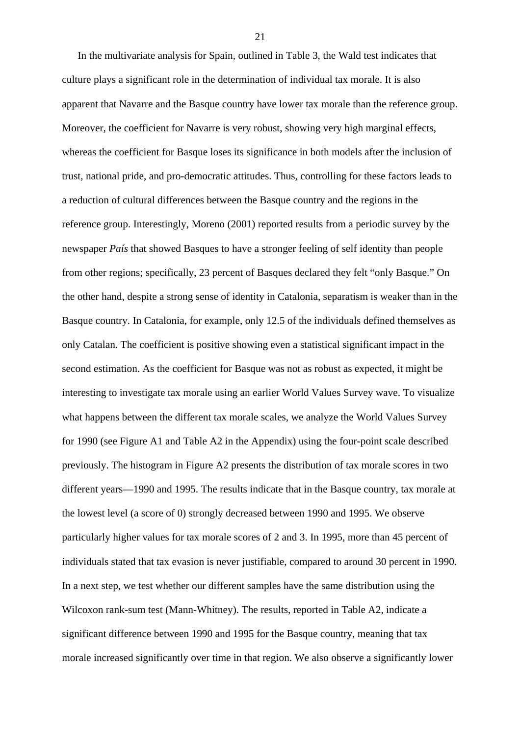In the multivariate analysis for Spain, outlined in Table 3, the Wald test indicates that culture plays a significant role in the determination of individual tax morale. It is also apparent that Navarre and the Basque country have lower tax morale than the reference group. Moreover, the coefficient for Navarre is very robust, showing very high marginal effects, whereas the coefficient for Basque loses its significance in both models after the inclusion of trust, national pride, and pro-democratic attitudes. Thus, controlling for these factors leads to a reduction of cultural differences between the Basque country and the regions in the reference group. Interestingly, Moreno (2001) reported results from a periodic survey by the newspaper *País* that showed Basques to have a stronger feeling of self identity than people from other regions; specifically, 23 percent of Basques declared they felt "only Basque." On the other hand, despite a strong sense of identity in Catalonia, separatism is weaker than in the Basque country. In Catalonia, for example, only 12.5 of the individuals defined themselves as only Catalan. The coefficient is positive showing even a statistical significant impact in the second estimation. As the coefficient for Basque was not as robust as expected, it might be interesting to investigate tax morale using an earlier World Values Survey wave. To visualize what happens between the different tax morale scales, we analyze the World Values Survey for 1990 (see Figure A1 and Table A2 in the Appendix) using the four-point scale described previously. The histogram in Figure A2 presents the distribution of tax morale scores in two different years—1990 and 1995. The results indicate that in the Basque country, tax morale at the lowest level (a score of 0) strongly decreased between 1990 and 1995. We observe particularly higher values for tax morale scores of 2 and 3. In 1995, more than 45 percent of individuals stated that tax evasion is never justifiable, compared to around 30 percent in 1990. In a next step, we test whether our different samples have the same distribution using the Wilcoxon rank-sum test (Mann-Whitney). The results, reported in Table A2, indicate a significant difference between 1990 and 1995 for the Basque country, meaning that tax morale increased significantly over time in that region. We also observe a significantly lower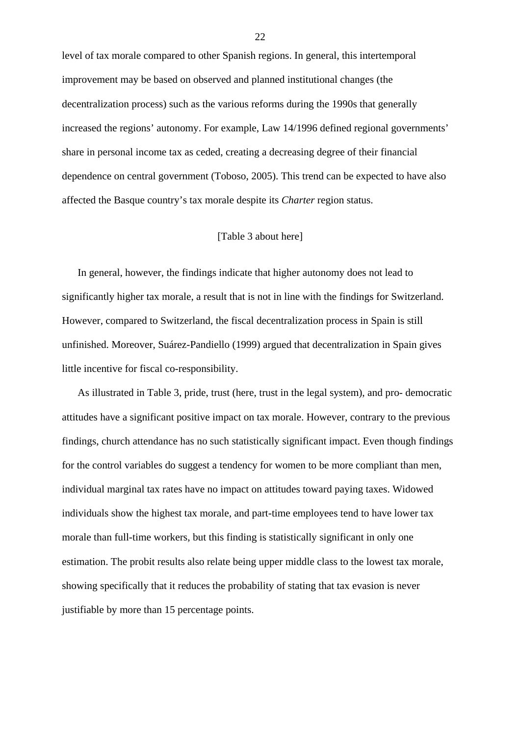level of tax morale compared to other Spanish regions. In general, this intertemporal improvement may be based on observed and planned institutional changes (the decentralization process) such as the various reforms during the 1990s that generally increased the regions' autonomy. For example, Law 14/1996 defined regional governments' share in personal income tax as ceded, creating a decreasing degree of their financial dependence on central government (Toboso, 2005). This trend can be expected to have also affected the Basque country's tax morale despite its *Charter* region status.

### [Table 3 about here]

In general, however, the findings indicate that higher autonomy does not lead to significantly higher tax morale, a result that is not in line with the findings for Switzerland. However, compared to Switzerland, the fiscal decentralization process in Spain is still unfinished. Moreover, Suárez-Pandiello (1999) argued that decentralization in Spain gives little incentive for fiscal co-responsibility.

As illustrated in Table 3, pride, trust (here, trust in the legal system), and pro- democratic attitudes have a significant positive impact on tax morale. However, contrary to the previous findings, church attendance has no such statistically significant impact. Even though findings for the control variables do suggest a tendency for women to be more compliant than men, individual marginal tax rates have no impact on attitudes toward paying taxes. Widowed individuals show the highest tax morale, and part-time employees tend to have lower tax morale than full-time workers, but this finding is statistically significant in only one estimation. The probit results also relate being upper middle class to the lowest tax morale, showing specifically that it reduces the probability of stating that tax evasion is never justifiable by more than 15 percentage points.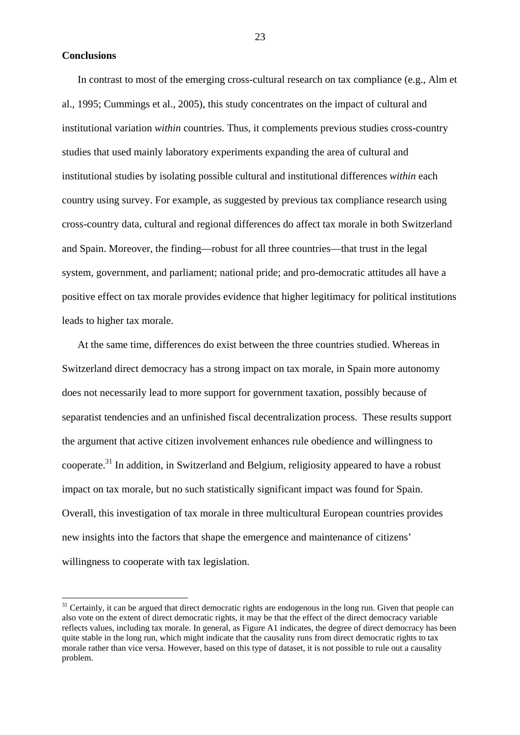**Conclusions** 

 $\overline{a}$ 

In contrast to most of the emerging cross-cultural research on tax compliance (e.g., Alm et al., 1995; Cummings et al., 2005), this study concentrates on the impact of cultural and institutional variation *within* countries. Thus, it complements previous studies cross-country studies that used mainly laboratory experiments expanding the area of cultural and institutional studies by isolating possible cultural and institutional differences *within* each country using survey. For example, as suggested by previous tax compliance research using cross-country data, cultural and regional differences do affect tax morale in both Switzerland and Spain. Moreover, the finding—robust for all three countries—that trust in the legal system, government, and parliament; national pride; and pro-democratic attitudes all have a positive effect on tax morale provides evidence that higher legitimacy for political institutions leads to higher tax morale.

At the same time, differences do exist between the three countries studied. Whereas in Switzerland direct democracy has a strong impact on tax morale, in Spain more autonomy does not necessarily lead to more support for government taxation, possibly because of separatist tendencies and an unfinished fiscal decentralization process. These results support the argument that active citizen involvement enhances rule obedience and willingness to cooperate.<sup>31</sup> In addition, in Switzerland and Belgium, religiosity appeared to have a robust impact on tax morale, but no such statistically significant impact was found for Spain. Overall, this investigation of tax morale in three multicultural European countries provides new insights into the factors that shape the emergence and maintenance of citizens' willingness to cooperate with tax legislation.

<span id="page-24-0"></span> $31$  Certainly, it can be argued that direct democratic rights are endogenous in the long run. Given that people can also vote on the extent of direct democratic rights, it may be that the effect of the direct democracy variable reflects values, including tax morale. In general, as Figure A1 indicates, the degree of direct democracy has been quite stable in the long run, which might indicate that the causality runs from direct democratic rights to tax morale rather than vice versa. However, based on this type of dataset, it is not possible to rule out a causality problem.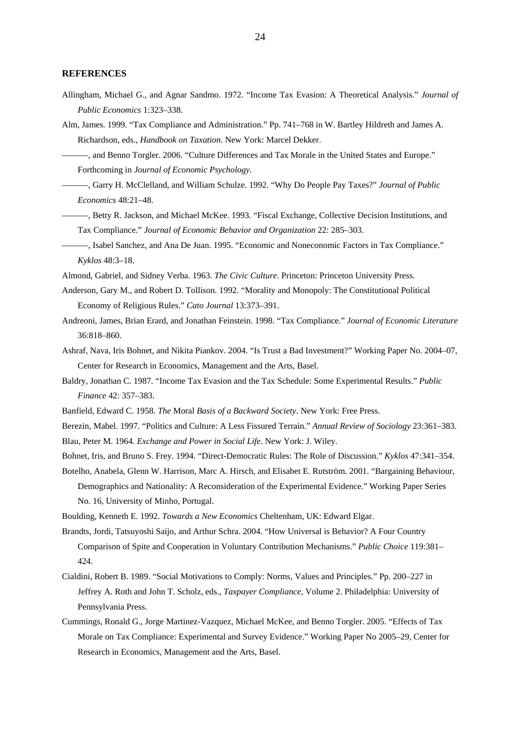#### **REFERENCES**

- Allingham, Michael G., and Agnar Sandmo. 1972. "Income Tax Evasion: A Theoretical Analysis." *Journal of Public Economics* 1:323–338.
- Alm, James. 1999. "Tax Compliance and Administration." Pp. 741–768 in W. Bartley Hildreth and James A. Richardson, eds., *Handbook on Taxation*. New York: Marcel Dekker.
	- ———, and Benno Torgler. 2006. "Culture Differences and Tax Morale in the United States and Europe." Forthcoming in *Journal of Economic Psychology*.
	- ———, Garry H. McClelland, and William Schulze. 1992. "Why Do People Pay Taxes?" *Journal of Public Economics* 48:21–48.
- ———, Betty R. Jackson, and Michael McKee. 1993. "Fiscal Exchange, Collective Decision Institutions, and Tax Compliance." *Journal of Economic Behavior and Organization* 22: 285–303.
- ———, Isabel Sanchez, and Ana De Juan. 1995. "Economic and Noneconomic Factors in Tax Compliance." *Kyklos* 48:3–18.
- Almond, Gabriel, and Sidney Verba. 1963. *The Civic Culture*. Princeton: Princeton University Press.
- Anderson, Gary M., and Robert D. Tollison. 1992. "Morality and Monopoly: The Constitutional Political Economy of Religious Rules." *Cato Journal* 13:373–391.
- Andreoni, James, Brian Erard, and Jonathan Feinstein. 1998. "Tax Compliance." *Journal of Economic Literature* 36:818–860.
- Ashraf, Nava, Iris Bohnet, and Nikita Piankov. 2004. "Is Trust a Bad Investment?" Working Paper No. 2004–07, Center for Research in Economics, Management and the Arts, Basel.
- Baldry, Jonathan C. 1987. "Income Tax Evasion and the Tax Schedule: Some Experimental Results." *Public Finance* 42: 357–383.
- Banfield, Edward C. 1958. *The* Moral *Basis of a Backward Society*. New York: Free Press.
- Berezin, Mabel. 1997. "Politics and Culture: A Less Fissured Terrain." *Annual Review of Sociology* 23:361–383. Blau, Peter M. 1964. *Exchange and Power in Social Life*. New York: J. Wiley.
- Bohnet, Iris, and Bruno S. Frey. 1994. "Direct-Democratic Rules: The Role of Discussion." *Kyklos* 47:341–354.
- Botelho, Anabela, Glenn W. Harrison, Marc A. Hirsch, and Elisabet E. Rutström. 2001. "Bargaining Behaviour, Demographics and Nationality: A Reconsideration of the Experimental Evidence." Working Paper Series No. 16, University of Minho, Portugal.
- Boulding, Kenneth E. 1992. *Towards a New Economics* Cheltenham, UK: Edward Elgar.
- Brandts, Jordi, Tatsuyoshi Saijo, and Arthur Schra. 2004. "How Universal is Behavior? A Four Country Comparison of Spite and Cooperation in Voluntary Contribution Mechanisms." *Public Choice* 119:381– 424.
- Cialdini, Robert B. 1989. "Social Motivations to Comply: Norms, Values and Principles." Pp. 200–227 in Jeffrey A. Roth and John T. Scholz, eds., *Taxpayer Compliance*, Volume 2. Philadelphia: University of Pennsylvania Press.
- Cummings, Ronald G., Jorge Martinez-Vazquez, Michael McKee, and Benno Torgler. 2005. "Effects of Tax Morale on Tax Compliance: Experimental and Survey Evidence." Working Paper No 2005–29, Center for Research in Economics, Management and the Arts, Basel.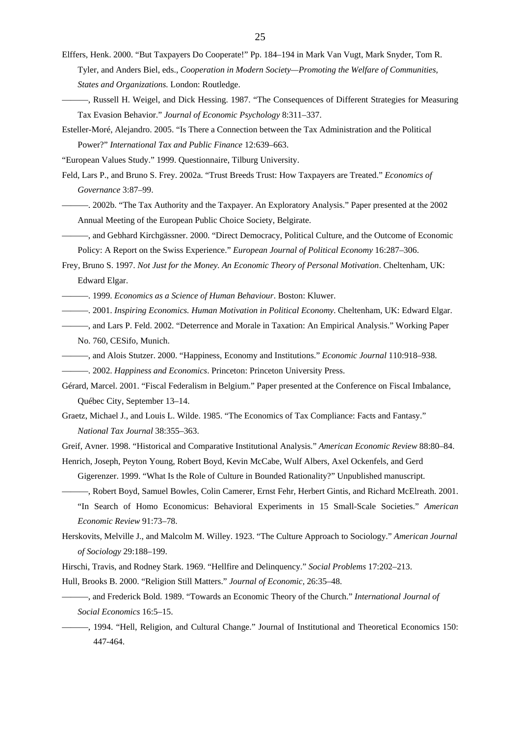Elffers, Henk. 2000. "But Taxpayers Do Cooperate!" Pp. 184–194 in Mark Van Vugt, Mark Snyder, Tom R. Tyler, and Anders Biel, eds., *Cooperation in Modern Society—Promoting the Welfare of Communities, States and Organizations.* London: Routledge.

- ———, Russell H. Weigel, and Dick Hessing. 1987. "The Consequences of Different Strategies for Measuring Tax Evasion Behavior." *Journal of Economic Psychology* 8:311–337.
- Esteller-Moré, Alejandro. 2005. "Is There a Connection between the Tax Administration and the Political Power?" *International Tax and Public Finance* 12:639–663.
- "European Values Study." 1999. Questionnaire, Tilburg University.
- Feld, Lars P., and Bruno S. Frey. 2002a. "Trust Breeds Trust: How Taxpayers are Treated." *Economics of Governance* 3:87–99.
- ———. 2002b. "The Tax Authority and the Taxpayer. An Exploratory Analysis." Paper presented at the 2002 Annual Meeting of the European Public Choice Society, Belgirate.
- ———, and Gebhard Kirchgässner. 2000. "Direct Democracy, Political Culture, and the Outcome of Economic Policy: A Report on the Swiss Experience." *European Journal of Political Economy* 16:287–306.
- Frey, Bruno S. 1997. *Not Just for the Money. An Economic Theory of Personal Motivation*. Cheltenham, UK: Edward Elgar.
- ———. 1999. *Economics as a Science of Human Behaviour*. Boston: Kluwer.
- ———. 2001. *Inspiring Economics. Human Motivation in Political Economy*. Cheltenham, UK: Edward Elgar.
- ———, and Lars P. Feld. 2002. "Deterrence and Morale in Taxation: An Empirical Analysis." Working Paper No. 760, CESifo, Munich.
- ———, and Alois Stutzer. 2000. "Happiness, Economy and Institutions." *Economic Journal* 110:918–938.
- ———. 2002. *Happiness and Economics*. Princeton: Princeton University Press.
- Gérard, Marcel. 2001. "Fiscal Federalism in Belgium." Paper presented at the Conference on Fiscal Imbalance, Québec City, September 13–14.
- Graetz, Michael J., and Louis L. Wilde. 1985. "The Economics of Tax Compliance: Facts and Fantasy." *National Tax Journal* 38:355–363.
- Greif, Avner. 1998. "Historical and Comparative Institutional Analysis." *American Economic Review* 88:80–84.
- Henrich, Joseph, Peyton Young, Robert Boyd, Kevin McCabe, Wulf Albers, Axel Ockenfels, and Gerd Gigerenzer. 1999. "What Is the Role of Culture in Bounded Rationality?" Unpublished manuscript.
	- ———, Robert Boyd, Samuel Bowles, Colin Camerer, Ernst Fehr, Herbert Gintis, and Richard McElreath. 2001.
	- "In Search of Homo Economicus: Behavioral Experiments in 15 Small-Scale Societies." *American Economic Review* 91:73–78.
- Herskovits, Melville J., and Malcolm M. Willey. 1923. "The Culture Approach to Sociology." *American Journal of Sociology* 29:188–199.
- Hirschi, Travis, and Rodney Stark. 1969. "Hellfire and Delinquency." *Social Problems* 17:202–213.
- Hull, Brooks B. 2000. "Religion Still Matters." *Journal of Economic,* 26:35–48.
- ———, and Frederick Bold. 1989. "Towards an Economic Theory of the Church." *International Journal of Social Economics* 16:5–15.
- ———, 1994. "Hell, Religion, and Cultural Change." Journal of Institutional and Theoretical Economics 150: 447-464.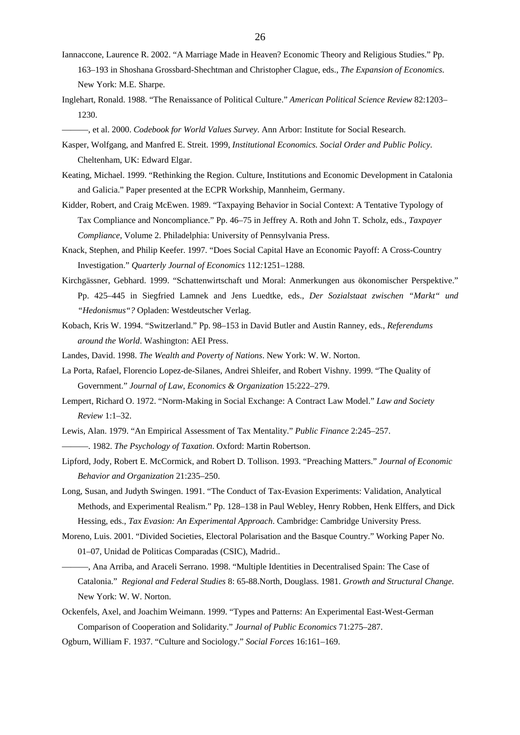- Iannaccone, Laurence R. 2002. "A Marriage Made in Heaven? Economic Theory and Religious Studies." Pp. 163–193 in Shoshana Grossbard-Shechtman and Christopher Clague, eds., *The Expansion of Economics*. New York: M.E. Sharpe.
- Inglehart, Ronald. 1988. "The Renaissance of Political Culture." *American Political Science Review* 82:1203– 1230.
	- ———, et al. 2000. *Codebook for World Values Survey*. Ann Arbor: Institute for Social Research.
- Kasper, Wolfgang, and Manfred E. Streit. 1999, *Institutional Economics. Social Order and Public Policy*. Cheltenham, UK: Edward Elgar.
- Keating, Michael. 1999. "Rethinking the Region. Culture, Institutions and Economic Development in Catalonia and Galicia." Paper presented at the ECPR Workship, Mannheim, Germany.
- Kidder, Robert, and Craig McEwen. 1989. "Taxpaying Behavior in Social Context: A Tentative Typology of Tax Compliance and Noncompliance." Pp. 46–75 in Jeffrey A. Roth and John T. Scholz, eds., *Taxpayer Compliance*, Volume 2. Philadelphia: University of Pennsylvania Press.
- Knack, Stephen, and Philip Keefer. 1997. "Does Social Capital Have an Economic Payoff: A Cross-Country Investigation." *Quarterly Journal of Economics* 112*:*1251–1288.
- Kirchgässner, Gebhard. 1999. "Schattenwirtschaft und Moral: Anmerkungen aus ökonomischer Perspektive." Pp. 425–445 in Siegfried Lamnek and Jens Luedtke, eds., *Der Sozialstaat zwischen "Markt" und "Hedonismus"?* Opladen: Westdeutscher Verlag.
- Kobach, Kris W. 1994. "Switzerland." Pp. 98–153 in David Butler and Austin Ranney, eds., *Referendums around the World*. Washington: AEI Press.
- Landes, David. 1998. *The Wealth and Poverty of Nations*. New York: W. W. Norton.
- La Porta, Rafael, Florencio Lopez-de-Silanes, Andrei Shleifer, and Robert Vishny. 1999. "The Quality of Government." *Journal of Law, Economics & Organization* 15:222–279.
- Lempert, Richard O. 1972. "Norm-Making in Social Exchange: A Contract Law Model." *Law and Society Review* 1:1–32.
- Lewis, Alan. 1979. "An Empirical Assessment of Tax Mentality." *Public Finance* 2:245–257.
	- ———. 1982. *The Psychology of Taxation*. Oxford: Martin Robertson.
- Lipford, Jody, Robert E. McCormick, and Robert D. Tollison. 1993. "Preaching Matters." *Journal of Economic Behavior and Organization* 21:235–250.
- Long, Susan, and Judyth Swingen. 1991. "The Conduct of Tax-Evasion Experiments: Validation, Analytical Methods, and Experimental Realism." Pp. 128–138 in Paul Webley, Henry Robben, Henk Elffers, and Dick Hessing, eds., *Tax Evasion: An Experimental Approach*. Cambridge: Cambridge University Press.
- Moreno, Luis. 2001. "Divided Societies, Electoral Polarisation and the Basque Country." Working Paper No. 01–07, Unidad de Politicas Comparadas (CSIC), Madrid..
- ———, Ana Arriba, and Araceli Serrano. 1998. "Multiple Identities in Decentralised Spain: The Case of Catalonia." *Regional and Federal Studies* 8: 65-88.North, Douglass. 1981. *Growth and Structural Change.* New York: W. W. Norton.
- Ockenfels, Axel, and Joachim Weimann. 1999. "Types and Patterns: An Experimental East-West-German Comparison of Cooperation and Solidarity." *Journal of Public Economics* 71:275–287.
- Ogburn, William F. 1937. "Culture and Sociology." *Social Forces* 16:161–169.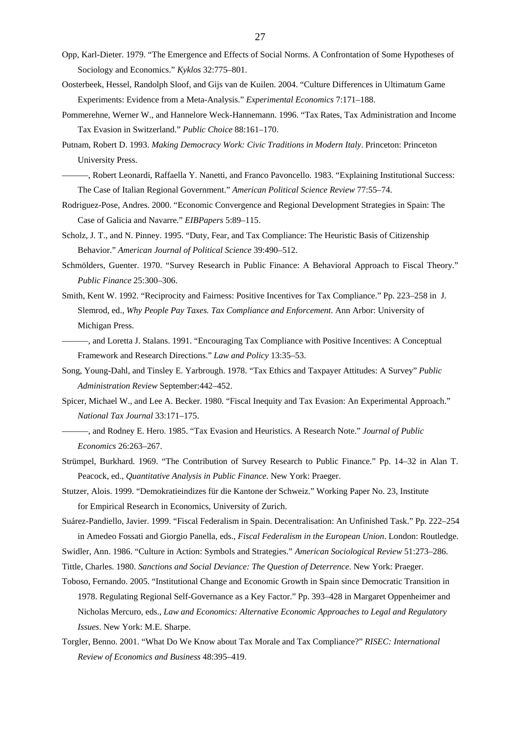- Opp, Karl-Dieter. 1979. "The Emergence and Effects of Social Norms. A Confrontation of Some Hypotheses of Sociology and Economics." *Kyklos* 32:775–801.
- Oosterbeek, Hessel, Randolph Sloof, and Gijs van de Kuilen. 2004. "Culture Differences in Ultimatum Game Experiments: Evidence from a Meta-Analysis." *Experimental Economics* 7:171–188.
- Pommerehne, Werner W., and Hannelore Weck-Hannemann. 1996. "Tax Rates, Tax Administration and Income Tax Evasion in Switzerland." *Public Choice* 88:161–170.
- Putnam, Robert D. 1993. *Making Democracy Work: Civic Traditions in Modern Italy*. Princeton: Princeton University Press.
- ———, Robert Leonardi, Raffaella Y. Nanetti, and Franco Pavoncello. 1983. "Explaining Institutional Success: The Case of Italian Regional Government." *American Political Science Review* 77:55–74.
- Rodriguez-Pose, Andres. 2000. "Economic Convergence and Regional Development Strategies in Spain: The Case of Galicia and Navarre." *EIBPapers* 5:89–115.
- Scholz, J. T., and N. Pinney. 1995. "Duty, Fear, and Tax Compliance: The Heuristic Basis of Citizenship Behavior." *American Journal of Political Science* 39:490–512.
- Schmölders, Guenter. 1970. "Survey Research in Public Finance: A Behavioral Approach to Fiscal Theory." *Public Finance* 25:300–306.
- Smith, Kent W. 1992. "Reciprocity and Fairness: Positive Incentives for Tax Compliance." Pp. 223–258 in J. Slemrod, ed., *Why People Pay Taxes. Tax Compliance and Enforcement*. Ann Arbor: University of Michigan Press.
- ———, and Loretta J. Stalans. 1991. "Encouraging Tax Compliance with Positive Incentives: A Conceptual Framework and Research Directions." *Law and Policy* 13:35–53.
- Song, Young-Dahl, and Tinsley E. Yarbrough. 1978. "Tax Ethics and Taxpayer Attitudes: A Survey" *Public Administration Review* September:442–452.
- Spicer, Michael W., and Lee A. Becker. 1980. "Fiscal Inequity and Tax Evasion: An Experimental Approach." *National Tax Journal* 33:171–175.
- ———, and Rodney E. Hero. 1985. "Tax Evasion and Heuristics. A Research Note." *Journal of Public Economics* 26:263–267.
- Strümpel, Burkhard. 1969. "The Contribution of Survey Research to Public Finance." Pp. 14–32 in Alan T. Peacock, ed., *Quantitative Analysis in Public Finance.* New York: Praeger.
- Stutzer, Alois. 1999. "Demokratieindizes für die Kantone der Schweiz." Working Paper No. 23, Institute for Empirical Research in Economics, University of Zurich.
- Suárez-Pandiello, Javier. 1999. "Fiscal Federalism in Spain. Decentralisation: An Unfinished Task." Pp. 222–254 in Amedeo Fossati and Giorgio Panella, eds., *Fiscal Federalism in the European Union*. London: Routledge.
- Swidler, Ann. 1986. "Culture in Action: Symbols and Strategies." *American Sociological Review* 51:273–286.
- Tittle, Charles. 1980. *Sanctions and Social Deviance: The Question of Deterrence*. New York: Praeger.
- Toboso, Fernando. 2005. "Institutional Change and Economic Growth in Spain since Democratic Transition in 1978. Regulating Regional Self-Governance as a Key Factor." Pp. 393–428 in Margaret Oppenheimer and Nicholas Mercuro, eds., *Law and Economics: Alternative Economic Approaches to Legal and Regulatory Issues*. New York: M.E. Sharpe.
- Torgler, Benno. 2001. "What Do We Know about Tax Morale and Tax Compliance?" *RISEC: International Review of Economics and Business* 48:395–419.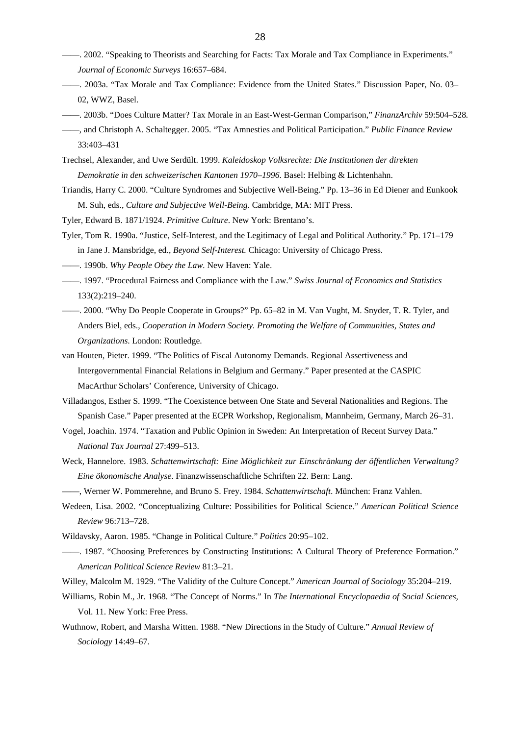- ——. 2002. "Speaking to Theorists and Searching for Facts: Tax Morale and Tax Compliance in Experiments." *Journal of Economic Surveys* 16:657–684.
- ——. 2003a. "Tax Morale and Tax Compliance: Evidence from the United States." Discussion Paper, No. 03– 02, WWZ, Basel.
- ——. 2003b. "Does Culture Matter? Tax Morale in an East-West-German Comparison," *FinanzArchiv* 59:504–528*.*
- ——, and Christoph A. Schaltegger. 2005. "Tax Amnesties and Political Participation." *Public Finance Review* 33:403–431
- Trechsel, Alexander, and Uwe Serdült. 1999. *Kaleidoskop Volksrechte: Die Institutionen der direkten Demokratie in den schweizerischen Kantonen 1970–1996*. Basel: Helbing & Lichtenhahn.
- Triandis, Harry C. 2000. "Culture Syndromes and Subjective Well-Being." Pp. 13–36 in Ed Diener and Eunkook M. Suh, eds., *Culture and Subjective Well-Being*. Cambridge, MA: MIT Press.
- Tyler, Edward B. 1871/1924. *Primitive Culture*. New York: Brentano's.
- Tyler, Tom R. 1990a. "Justice, Self-Interest, and the Legitimacy of Legal and Political Authority." Pp. 171–179 in Jane J. Mansbridge, ed., *Beyond Self-Interest.* Chicago: University of Chicago Press.
- ——. 1990b. *Why People Obey the Law.* New Haven: Yale.
- ——. 1997. "Procedural Fairness and Compliance with the Law." *Swiss Journal of Economics and Statistics*  133(2):219–240.
- ——. 2000. "Why Do People Cooperate in Groups?" Pp. 65–82 in M. Van Vught, M. Snyder, T. R. Tyler, and Anders Biel, eds., *Cooperation in Modern Society. Promoting the Welfare of Communities, States and Organizations*. London: Routledge.
- van Houten, Pieter. 1999. "The Politics of Fiscal Autonomy Demands. Regional Assertiveness and Intergovernmental Financial Relations in Belgium and Germany." Paper presented at the CASPIC MacArthur Scholars' Conference, University of Chicago.
- Villadangos, Esther S. 1999. "The Coexistence between One State and Several Nationalities and Regions. The Spanish Case." Paper presented at the ECPR Workshop, Regionalism, Mannheim, Germany, March 26–31.
- Vogel, Joachin. 1974. "Taxation and Public Opinion in Sweden: An Interpretation of Recent Survey Data." *National Tax Journal* 27:499–513.
- Weck, Hannelore. 1983. *Schattenwirtschaft: Eine Möglichkeit zur Einschränkung der öffentlichen Verwaltung? Eine ökonomische Analyse*. Finanzwissenschaftliche Schriften 22. Bern: Lang.
- ——, Werner W. Pommerehne, and Bruno S. Frey. 1984. *Schattenwirtschaft*. München: Franz Vahlen.
- Wedeen, Lisa. 2002. "Conceptualizing Culture: Possibilities for Political Science." *American Political Science Review* 96:713–728.
- Wildavsky, Aaron. 1985. "Change in Political Culture." *Politics* 20:95–102.
- ——. 1987. "Choosing Preferences by Constructing Institutions: A Cultural Theory of Preference Formation." *American Political Science Review* 81:3–21.
- Willey, Malcolm M. 1929. "The Validity of the Culture Concept." *American Journal of Sociology* 35:204–219.
- Williams, Robin M., Jr. 1968. "The Concept of Norms." In *The International Encyclopaedia of Social Sciences,*  Vol. 11. New York: Free Press.
- Wuthnow, Robert, and Marsha Witten. 1988. "New Directions in the Study of Culture." *Annual Review of Sociology* 14:49–67.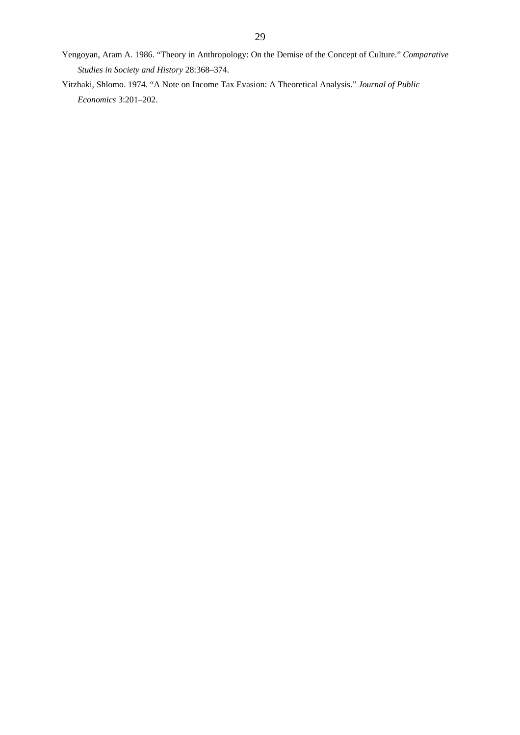- Yengoyan, Aram A. 1986. "Theory in Anthropology: On the Demise of the Concept of Culture." *Comparative Studies in Society and History* 28:368–374.
- Yitzhaki, Shlomo. 1974. "A Note on Income Tax Evasion: A Theoretical Analysis." *Journal of Public Economics* 3:201–202.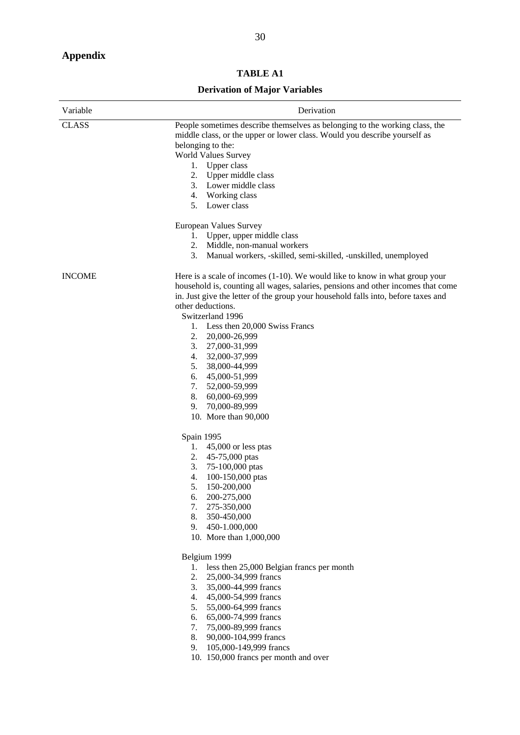# **Appendix**

# **TABLE A1**

# **Derivation of Major Variables**

| Variable      | Derivation                                                                                                                                                                                                                                                                                                                                                                                                          |  |  |  |  |  |  |  |  |  |
|---------------|---------------------------------------------------------------------------------------------------------------------------------------------------------------------------------------------------------------------------------------------------------------------------------------------------------------------------------------------------------------------------------------------------------------------|--|--|--|--|--|--|--|--|--|
| <b>CLASS</b>  | People sometimes describe themselves as belonging to the working class, the<br>middle class, or the upper or lower class. Would you describe yourself as<br>belonging to the:<br><b>World Values Survey</b><br>Upper class<br>1.<br>2. Upper middle class<br>3. Lower middle class<br>4. Working class<br>5. Lower class<br>European Values Survey<br>1. Upper, upper middle class<br>2. Middle, non-manual workers |  |  |  |  |  |  |  |  |  |
|               | 3. Manual workers, -skilled, semi-skilled, -unskilled, unemployed                                                                                                                                                                                                                                                                                                                                                   |  |  |  |  |  |  |  |  |  |
| <b>INCOME</b> | Here is a scale of incomes $(1-10)$ . We would like to know in what group your<br>household is, counting all wages, salaries, pensions and other incomes that come<br>in. Just give the letter of the group your household falls into, before taxes and<br>other deductions.<br>Switzerland 1996<br>Less then 20,000 Swiss Francs<br>1.<br>2.<br>20,000-26,999<br>3.<br>27,000-31,999<br>4. 32,000-37,999           |  |  |  |  |  |  |  |  |  |
|               | 38,000-44,999<br>5.<br>45,000-51,999<br>6.<br>52,000-59,999<br>7.<br>8.<br>60,000-69,999<br>70,000-89,999<br>9.<br>10. More than 90,000                                                                                                                                                                                                                                                                             |  |  |  |  |  |  |  |  |  |
|               | Spain 1995<br>$45,000$ or less ptas<br>1.<br>2.<br>45-75,000 ptas<br>3.<br>75-100,000 ptas<br>4.<br>100-150,000 ptas<br>5.<br>150-200,000<br>200-275,000<br>6.<br>7.<br>275-350,000<br>8.<br>350-450,000<br>450-1.000,000<br>9.<br>10. More than 1,000,000                                                                                                                                                          |  |  |  |  |  |  |  |  |  |
|               | Belgium 1999<br>less then 25,000 Belgian francs per month<br>1.<br>25,000-34,999 francs<br>2.<br>3.<br>35,000-44,999 francs<br>4.<br>45,000-54,999 francs<br>5.<br>55,000-64,999 francs<br>65,000-74,999 francs<br>6.<br>75,000-89,999 francs<br>7.<br>8.<br>90,000-104,999 francs<br>105,000-149,999 francs<br>9.<br>10. 150,000 francs per month and over                                                         |  |  |  |  |  |  |  |  |  |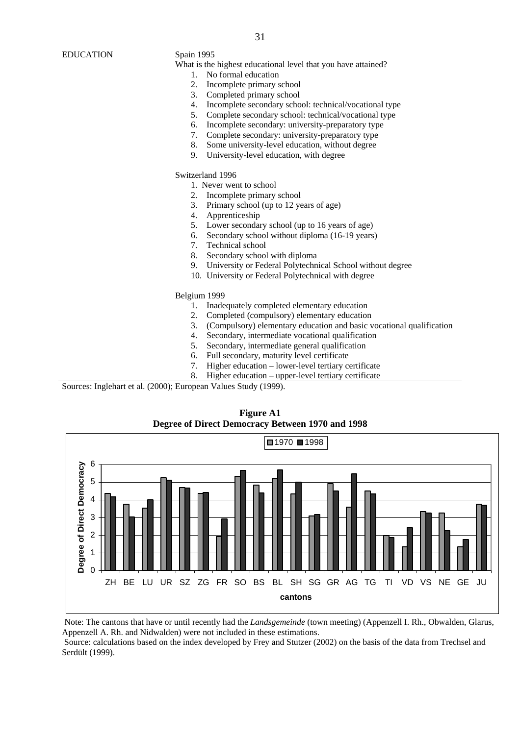What is the highest educational level that you have attained?

- 1. No formal education
- 2. Incomplete primary school
- 3. Completed primary school
- 4. Incomplete secondary school: technical/vocational type
- 5. Complete secondary school: technical/vocational type
- 6. Incomplete secondary: university-preparatory type
- 7. Complete secondary: university-preparatory type
- 8. Some university-level education, without degree
- 9. University-level education, with degree

Switzerland 1996

- 1. Never went to school
- 2. Incomplete primary school
- 3. Primary school (up to 12 years of age)
- 4. Apprenticeship
- 5. Lower secondary school (up to 16 years of age)<br>6. Secondary school without diploma (16-19 years
- Secondary school without diploma (16-19 years)
- 7. Technical school
- 8. Secondary school with diploma
- 9. University or Federal Polytechnical School without degree
- 10. University or Federal Polytechnical with degree

Belgium 1999

- 1. Inadequately completed elementary education
- 2. Completed (compulsory) elementary education
- 3. (Compulsory) elementary education and basic vocational qualification
- 4. Secondary, intermediate vocational qualification
- 5. Secondary, intermediate general qualification
- 6. Full secondary, maturity level certificate
- 7. Higher education lower-level tertiary certificate
- 8. Higher education upper-level tertiary certificate

Sources: Inglehart et al. (2000); European Values Study (1999).



**Figure A1** 

Note: The cantons that have or until recently had the *Landsgemeinde* (town meeting) (Appenzell I. Rh., Obwalden, Glarus, Appenzell A. Rh. and Nidwalden) were not included in these estimations.

 Source: calculations based on the index developed by Frey and Stutzer (2002) on the basis of the data from Trechsel and Serdült (1999).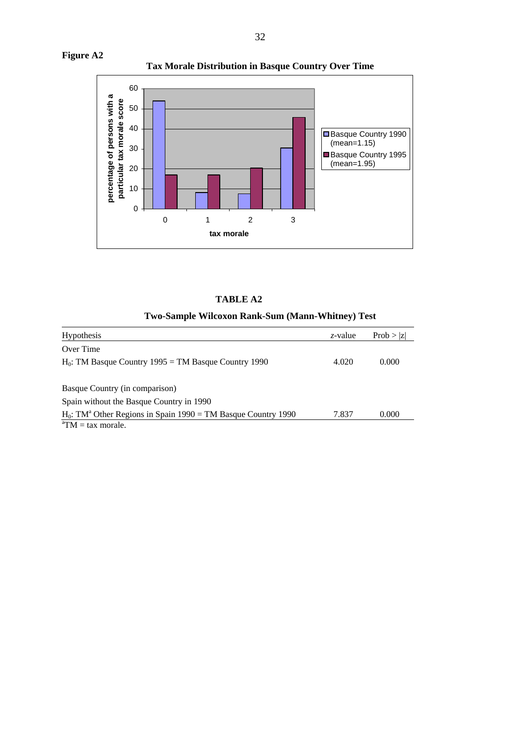

| 'ABLE A2 |  |
|----------|--|
|----------|--|

# **Two-Sample Wilcoxon Rank-Sum (Mann-Whitney) Test**

| Hypothesis                                                                   | z-value | Prob >  z |
|------------------------------------------------------------------------------|---------|-----------|
| Over Time                                                                    |         |           |
| $H_0$ : TM Basque Country 1995 = TM Basque Country 1990                      | 4.020   | 0.000     |
| Basque Country (in comparison)                                               |         |           |
| Spain without the Basque Country in 1990                                     |         |           |
| $H_0$ : TM <sup>a</sup> Other Regions in Spain 1990 = TM Basque Country 1990 | 7.837   | 0.000     |
| ${}^{\textrm{a}}TM = \textrm{tax}$ morale.                                   |         |           |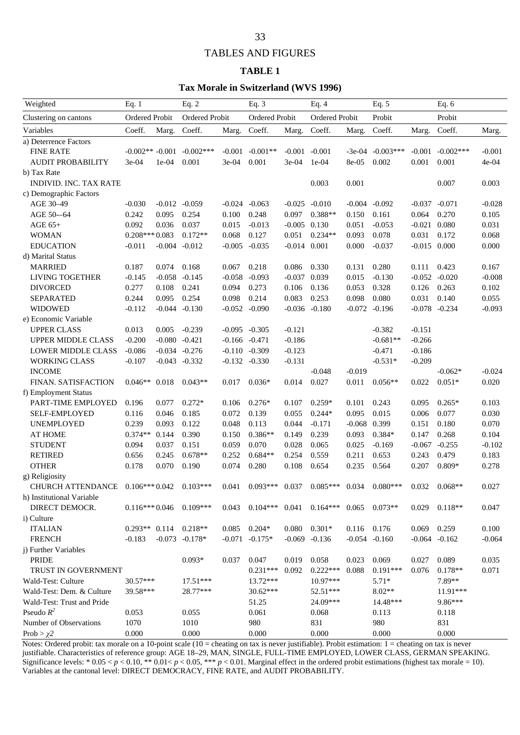# TABLES AND FIGURES

### **TABLE 1**

#### **Tax Morale in Switzerland (WVS 1996)**

| Weighted                                        | Eq. 1             |          | Eq. $2$<br>Ordered Probit |          | Eq. $3$<br>Ordered Probit                     |          | Eq. $4$<br>Ordered Probit |          | Eq. $5$<br>Probit    |          | Eq. $6$<br>Probit   |          |
|-------------------------------------------------|-------------------|----------|---------------------------|----------|-----------------------------------------------|----------|---------------------------|----------|----------------------|----------|---------------------|----------|
| Ordered Probit<br>Clustering on cantons         |                   |          |                           |          |                                               |          |                           |          |                      |          |                     |          |
| Variables                                       | Coeff.            | Marg.    | Coeff.                    | Marg.    | Coeff.                                        | Marg.    | Coeff.                    | Marg.    | Coeff.               | Marg.    | Coeff.              | Marg.    |
| a) Deterrence Factors                           |                   |          |                           |          |                                               |          |                           |          |                      |          |                     |          |
| <b>FINE RATE</b>                                | $-0.002** -0.001$ |          | $-0.002$ ***              | $-0.001$ | $-0.001**$                                    | $-0.001$ | $-0.001$                  | $-3e-04$ | $-0.003***$          | $-0.001$ | $-0.002$ ***        | $-0.001$ |
| <b>AUDIT PROBABILITY</b>                        | 3e-04             | $1e-04$  | 0.001                     | 3e-04    | 0.001                                         | $3e-04$  | $1e-04$                   | 8e-05    | 0.002                | 0.001    | 0.001               | 4e-04    |
| b) Tax Rate                                     |                   |          |                           |          |                                               |          |                           |          |                      |          |                     |          |
| <b>INDIVID. INC. TAX RATE</b>                   |                   |          |                           |          |                                               |          | 0.003                     | 0.001    |                      |          | 0.007               | 0.003    |
| c) Demographic Factors                          |                   |          |                           |          |                                               |          |                           |          |                      |          |                     |          |
| AGE 30-49                                       | $-0.030$          | $-0.012$ | $-0.059$                  |          | $-0.024 - 0.063$                              | $-0.025$ | $-0.010$                  | $-0.004$ | $-0.092$             | $-0.037$ | $-0.071$            | $-0.028$ |
| AGE 50-64                                       | 0.242             | 0.095    | 0.254                     | 0.100    | 0.248                                         | 0.097    | $0.388**$                 | 0.150    | 0.161                | 0.064    | 0.270               | 0.105    |
| AGE 65+                                         | 0.092             | 0.036    | 0.037                     | 0.015    | $-0.013$                                      | $-0.005$ | 0.130                     | 0.051    | $-0.053$             | $-0.021$ | 0.080               | 0.031    |
| <b>WOMAN</b>                                    | $0.208***0.083$   |          | $0.172**$                 | 0.068    | 0.127                                         | 0.051    | $0.234**$                 | 0.093    | 0.078                | 0.031    | 0.172               | 0.068    |
| <b>EDUCATION</b>                                | $-0.011$          | $-0.004$ | $-0.012$                  | $-0.005$ | $-0.035$                                      | $-0.014$ | 0.001                     | 0.000    | $-0.037$             | $-0.015$ | 0.000               | 0.000    |
| d) Marital Status                               |                   |          |                           |          |                                               |          |                           |          |                      |          |                     |          |
| <b>MARRIED</b>                                  | 0.187             | 0.074    | 0.168                     | 0.067    | 0.218                                         | 0.086    | 0.330                     | 0.131    | 0.280                | 0.111    | 0.423               | 0.167    |
| LIVING TOGETHER                                 | $-0.145$          | $-0.058$ | $-0.145$                  | $-0.058$ | $-0.093$                                      | $-0.037$ | 0.039                     | 0.015    | $-0.130$             | $-0.052$ | $-0.020$            | $-0.008$ |
| <b>DIVORCED</b>                                 | 0.277             | 0.108    | 0.241                     | 0.094    | 0.273                                         | 0.106    | 0.136                     | 0.053    | 0.328                | 0.126    | 0.263               | 0.102    |
| <b>SEPARATED</b>                                | 0.244             | 0.095    | 0.254                     | 0.098    | 0.214                                         | 0.083    | 0.253                     | 0.098    | 0.080                | 0.031    | 0.140               | 0.055    |
| <b>WIDOWED</b>                                  | $-0.112$          | $-0.044$ | $-0.130$                  | $-0.052$ | $-0.090$                                      | $-0.036$ | $-0.180$                  | $-0.072$ | $-0.196$             | $-0.078$ | $-0.234$            | $-0.093$ |
| e) Economic Variable                            |                   |          |                           |          |                                               |          |                           |          |                      |          |                     |          |
| <b>UPPER CLASS</b>                              | 0.013             | 0.005    | $-0.239$                  |          | $-0.095 -0.305$                               | $-0.121$ |                           |          | $-0.382$             | $-0.151$ |                     |          |
| <b>UPPER MIDDLE CLASS</b>                       | $-0.200$          | $-0.080$ | $-0.421$                  | $-0.166$ | $-0.471$                                      | $-0.186$ |                           |          | $-0.681**$           | $-0.266$ |                     |          |
| <b>LOWER MIDDLE CLASS</b>                       | $-0.086$          | $-0.034$ | $-0.276$                  | $-0.110$ | $-0.309$                                      | $-0.123$ |                           |          | $-0.471$             | $-0.186$ |                     |          |
| <b>WORKING CLASS</b>                            | $-0.107$          | $-0.043$ | $-0.332$                  | $-0.132$ | $-0.330$                                      | $-0.131$ |                           |          | $-0.531*$            | $-0.209$ |                     |          |
| <b>INCOME</b>                                   |                   |          |                           |          |                                               |          | $-0.048$                  | $-0.019$ |                      |          | $-0.062*$           | $-0.024$ |
| FINAN. SATISFACTION                             | $0.046**$         | 0.018    | $0.043**$                 | 0.017    | $0.036*$                                      | 0.014    | 0.027                     | 0.011    | $0.056**$            | 0.022    | $0.051*$            | 0.020    |
| f) Employment Status                            |                   |          |                           |          |                                               |          |                           |          |                      |          |                     |          |
| PART-TIME EMPLOYED                              | 0.196             | 0.077    | $0.272*$                  | 0.106    | $0.276*$                                      | 0.107    | $0.259*$                  | 0.101    | 0.243                | 0.095    | $0.265*$            | 0.103    |
| SELF-EMPLOYED                                   | 0.116             | 0.046    | 0.185                     | 0.072    | 0.139                                         | 0.055    | $0.244*$                  | 0.095    | 0.015                | 0.006    | 0.077               | 0.030    |
| <b>UNEMPLOYED</b>                               | 0.239             | 0.093    | 0.122                     | 0.048    | 0.113                                         | 0.044    | $-0.171$                  | $-0.068$ | 0.399                | 0.151    | 0.180               | 0.070    |
| <b>AT HOME</b>                                  | $0.374**$         | 0.144    | 0.390                     | 0.150    | $0.386**$                                     | 0.149    | 0.239                     | 0.093    | 0.384*               | 0.147    | 0.268               | 0.104    |
| <b>STUDENT</b>                                  | 0.094             | 0.037    | 0.151                     | 0.059    | 0.070                                         | 0.028    | 0.065                     | 0.025    | $-0.169$             | $-0.067$ | $-0.255$            | $-0.102$ |
| <b>RETIRED</b>                                  | 0.656             | 0.245    | $0.678**$                 | 0.252    | $0.684**$                                     | 0.254    | 0.559                     | 0.211    | 0.653                | 0.243    | 0.479               | 0.183    |
| <b>OTHER</b>                                    | 0.178             | 0.070    | 0.190                     | 0.074    | 0.280                                         | 0.108    | 0.654                     | 0.235    | 0.564                | 0.207    | $0.809*$            | 0.278    |
| g) Religiosity                                  |                   |          |                           |          |                                               |          |                           |          |                      |          |                     |          |
| CHURCH ATTENDANCE 0.106*** 0.042 0.103***       |                   |          |                           |          | $0.041$ $0.093***$ $0.037$ $0.085***$ $0.034$ |          |                           |          | $0.080***$           | 0.032    | $0.068**$           | 0.027    |
| h) Institutional Variable                       |                   |          |                           |          |                                               |          |                           |          |                      |          |                     |          |
| DIRECT DEMOCR.                                  | $0.116***0.046$   |          | $0.109***$                | 0.043    | $0.104***$ 0.041                              |          | $0.164***$ 0.065          |          | $0.073**$            | 0.029    | $0.118**$           | 0.047    |
| i) Culture                                      |                   |          |                           |          |                                               |          |                           |          |                      |          |                     |          |
| <b>ITALIAN</b>                                  | $0.293**$ 0.114   |          | $0.218**$                 | 0.085    | $0.204*$                                      | 0.080    | $0.301*$                  | 0.116    | 0.176                | 0.069    | 0.259               | 0.100    |
| <b>FRENCH</b>                                   | $-0.183$          |          | $-0.073$ $-0.178*$        |          | $-0.071 - 0.175*$                             | $-0.069$ | $-0.136$                  |          | $-0.054 -0.160$      |          | $-0.064$ $-0.162$   | $-0.064$ |
| j) Further Variables                            |                   |          |                           |          |                                               |          |                           |          |                      |          |                     |          |
| PRIDE                                           |                   |          | $0.093*$                  | 0.037    | 0.047                                         | 0.019    | 0.058                     | 0.023    | 0.069                | 0.027    | 0.089               | 0.035    |
| TRUST IN GOVERNMENT                             |                   |          |                           |          | $0.231***$                                    | 0.092    | $0.222***$ 0.088          |          | $0.191***$           | 0.076    | $0.178**$           | 0.071    |
|                                                 | $30.57***$        |          | $17.51***$                |          | $13.72***$                                    |          | $10.97***$                |          |                      |          | 7.89**              |          |
| Wald-Test: Culture<br>Wald-Test: Dem. & Culture | 39.58***          |          |                           |          |                                               |          |                           |          | $5.71*$              |          |                     |          |
| Wald-Test: Trust and Pride                      |                   |          | 28.77***                  |          | $30.62***$                                    |          | 52.51***<br>24.09***      |          | $8.02**$<br>14.48*** |          | 11.91***<br>9.86*** |          |
| Pseudo $R^2$                                    | 0.053             |          |                           |          | 51.25                                         |          |                           |          |                      |          |                     |          |
|                                                 |                   |          | 0.055                     |          | 0.061                                         |          | 0.068                     |          | 0.113                |          | 0.118               |          |
| Number of Observations                          | 1070              |          | 1010                      |          | 980                                           |          | 831                       |          | 980                  |          | 831                 |          |
| Prob > $\chi$ 2                                 | 0.000             |          | 0.000                     |          | 0.000                                         |          | 0.000                     |          | 0.000                |          | 0.000               |          |

Notes: Ordered probit: tax morale on a 10-point scale (10 = cheating on tax is never justifiable). Probit estimation: 1 = cheating on tax is never justifiable. Characteristics of reference group: AGE 18–29, MAN, SINGLE, FULL-TIME EMPLOYED, LOWER CLASS, GERMAN SPEAKING. Significance levels:  $*0.05 < p < 0.10$ ,  $** 0.01 < p < 0.05$ ,  $*** p < 0.01$ . Marginal effect in the ordered probit estimations (highest tax morale = 10). Variables at the cantonal level: DIRECT DEMOCRACY, FINE RATE, and AUDIT PROBABILITY.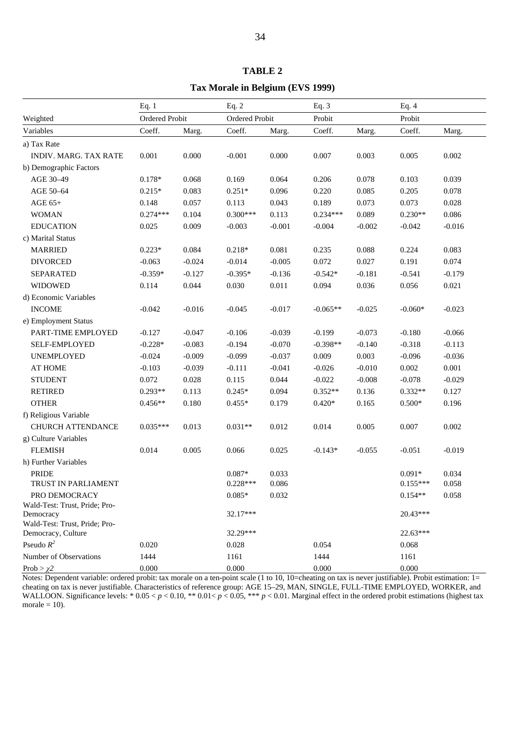|                                            | Eq. 1          |          | Eq. $2$        |          | Eq. $3$    |          | Eq. $4$    |          |  |  |
|--------------------------------------------|----------------|----------|----------------|----------|------------|----------|------------|----------|--|--|
| Weighted                                   | Ordered Probit |          | Ordered Probit |          | Probit     |          | Probit     |          |  |  |
| Variables                                  | Coeff.         | Marg.    | Coeff.         | Marg.    | Coeff.     | Marg.    | Coeff.     | Marg.    |  |  |
| a) Tax Rate                                |                |          |                |          |            |          |            |          |  |  |
| INDIV. MARG. TAX RATE                      | 0.001          | 0.000    | $-0.001$       | 0.000    | 0.007      | 0.003    | 0.005      | 0.002    |  |  |
| b) Demographic Factors                     |                |          |                |          |            |          |            |          |  |  |
| AGE 30-49                                  | $0.178*$       | 0.068    | 0.169          | 0.064    | 0.206      | 0.078    | 0.103      | 0.039    |  |  |
| AGE 50-64                                  | $0.215*$       | 0.083    | $0.251*$       | 0.096    | 0.220      | 0.085    | 0.205      | 0.078    |  |  |
| AGE 65+                                    | 0.148          | 0.057    | 0.113          | 0.043    | 0.189      | 0.073    | 0.073      | 0.028    |  |  |
| <b>WOMAN</b>                               | $0.274***$     | 0.104    | $0.300***$     | 0.113    | $0.234***$ | 0.089    | $0.230**$  | 0.086    |  |  |
| <b>EDUCATION</b>                           | 0.025          | 0.009    | $-0.003$       | $-0.001$ | $-0.004$   | $-0.002$ | $-0.042$   | $-0.016$ |  |  |
| c) Marital Status                          |                |          |                |          |            |          |            |          |  |  |
| <b>MARRIED</b>                             | $0.223*$       | 0.084    | $0.218*$       | 0.081    | 0.235      | 0.088    | 0.224      | 0.083    |  |  |
| <b>DIVORCED</b>                            | $-0.063$       | $-0.024$ | $-0.014$       | $-0.005$ | 0.072      | 0.027    | 0.191      | 0.074    |  |  |
| <b>SEPARATED</b>                           | $-0.359*$      | $-0.127$ | $-0.395*$      | $-0.136$ | $-0.542*$  | $-0.181$ | $-0.541$   | $-0.179$ |  |  |
| <b>WIDOWED</b>                             | 0.114          | 0.044    | 0.030          | 0.011    | 0.094      | 0.036    | 0.056      | 0.021    |  |  |
| d) Economic Variables                      |                |          |                |          |            |          |            |          |  |  |
| <b>INCOME</b>                              | $-0.042$       | $-0.016$ | $-0.045$       | $-0.017$ | $-0.065**$ | $-0.025$ | $-0.060*$  | $-0.023$ |  |  |
| e) Employment Status                       |                |          |                |          |            |          |            |          |  |  |
| PART-TIME EMPLOYED                         | $-0.127$       | $-0.047$ | $-0.106$       | $-0.039$ | $-0.199$   | $-0.073$ | $-0.180$   | $-0.066$ |  |  |
| SELF-EMPLOYED                              | $-0.228*$      | $-0.083$ | $-0.194$       | $-0.070$ | $-0.398**$ | $-0.140$ | $-0.318$   | $-0.113$ |  |  |
| UNEMPLOYED                                 | $-0.024$       | $-0.009$ | $-0.099$       | $-0.037$ | 0.009      | 0.003    | $-0.096$   | $-0.036$ |  |  |
| <b>AT HOME</b>                             | $-0.103$       | $-0.039$ | $-0.111$       | $-0.041$ | $-0.026$   | $-0.010$ | 0.002      | 0.001    |  |  |
| <b>STUDENT</b>                             | 0.072          | 0.028    | 0.115          | 0.044    | $-0.022$   | $-0.008$ | $-0.078$   | $-0.029$ |  |  |
| <b>RETIRED</b>                             | $0.293**$      | 0.113    | $0.245*$       | 0.094    | $0.352**$  | 0.136    | $0.332**$  | 0.127    |  |  |
| <b>OTHER</b>                               | $0.456**$      | 0.180    | $0.455*$       | 0.179    | $0.420*$   | 0.165    | $0.500*$   | 0.196    |  |  |
| f) Religious Variable                      |                |          |                |          |            |          |            |          |  |  |
| <b>CHURCH ATTENDANCE</b>                   | $0.035***$     | 0.013    | $0.031**$      | 0.012    | 0.014      | 0.005    | 0.007      | 0.002    |  |  |
| g) Culture Variables                       |                |          |                |          |            |          |            |          |  |  |
| <b>FLEMISH</b>                             | 0.014          | 0.005    | 0.066          | 0.025    | $-0.143*$  | $-0.055$ | $-0.051$   | $-0.019$ |  |  |
| h) Further Variables                       |                |          |                |          |            |          |            |          |  |  |
| <b>PRIDE</b>                               |                |          | $0.087*$       | 0.033    |            |          | $0.091*$   | 0.034    |  |  |
| TRUST IN PARLIAMENT                        |                |          | $0.228***$     | 0.086    |            |          | $0.155***$ | 0.058    |  |  |
| PRO DEMOCRACY                              |                |          | $0.085*$       | 0.032    |            |          | $0.154**$  | 0.058    |  |  |
| Wald-Test: Trust, Pride; Pro-              |                |          | 32.17***       |          |            |          | $20.43***$ |          |  |  |
| Democracy<br>Wald-Test: Trust, Pride; Pro- |                |          |                |          |            |          |            |          |  |  |
| Democracy, Culture                         |                |          | 32.29***       |          |            |          | 22.63***   |          |  |  |
| Pseudo $R^2$                               | 0.020          |          | 0.028          |          | 0.054      |          | 0.068      |          |  |  |
| Number of Observations                     | 1444           |          | 1161           |          | 1444       |          | 1161       |          |  |  |
| Prob > $\chi$ 2                            | 0.000          |          | 0.000          |          | 0.000      |          | 0.000      |          |  |  |

**Tax Morale in Belgium (EVS 1999)**

Notes: Dependent variable: ordered probit: tax morale on a ten-point scale (1 to 10, 10=cheating on tax is never justifiable). Probit estimation: 1= cheating on tax is never justifiable. Characteristics of reference group: AGE 15–29, MAN, SINGLE, FULL-TIME EMPLOYED, WORKER, and WALLOON. Significance levels: \* 0.05 < *p* < 0.10, \*\* 0.01 < *p* < 0.05, \*\*\* *p* < 0.01. Marginal effect in the ordered probit estimations (highest tax morale  $= 10$ ).

#### **TABLE 2**